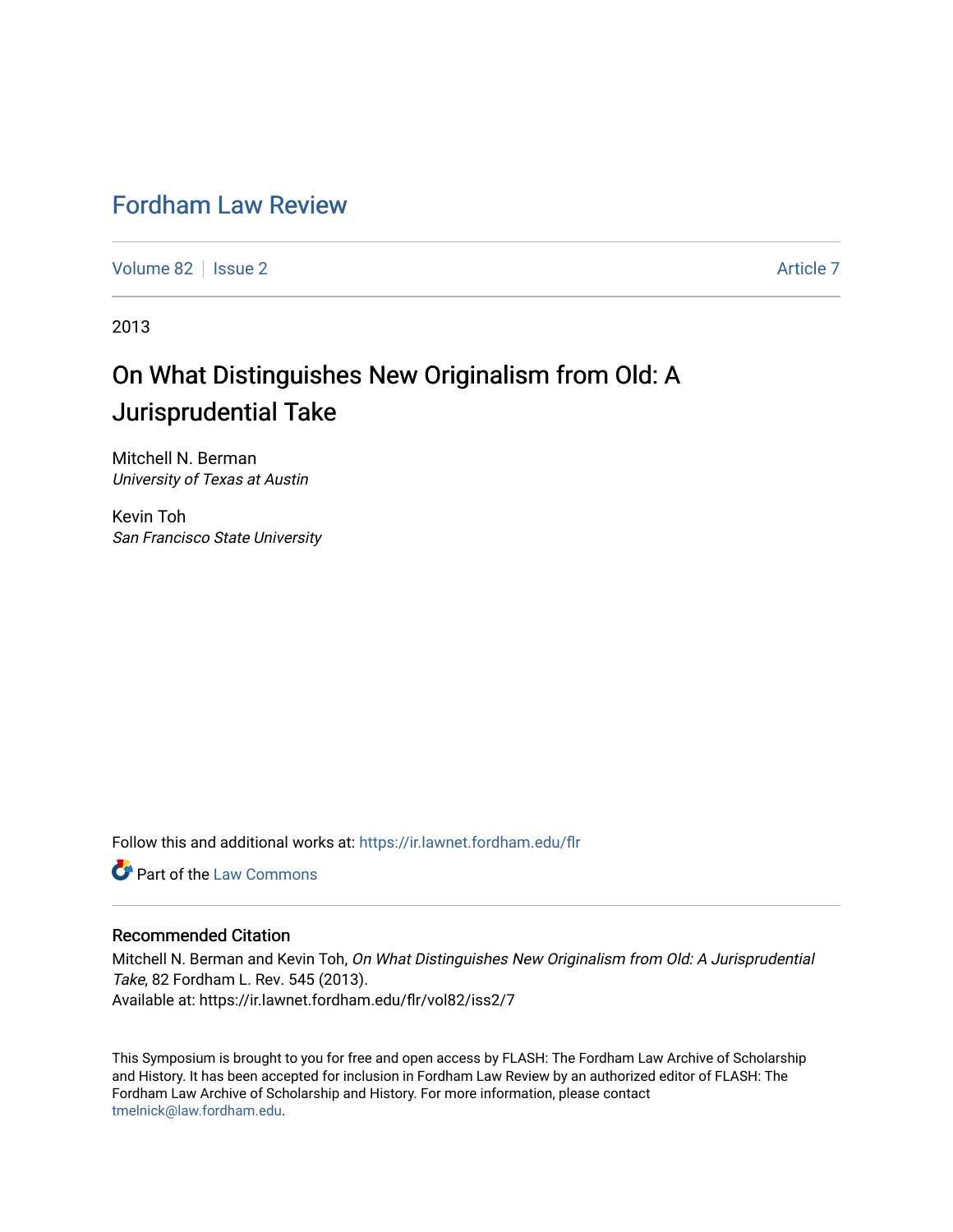## [Fordham Law Review](https://ir.lawnet.fordham.edu/flr)

[Volume 82](https://ir.lawnet.fordham.edu/flr/vol82) | [Issue 2](https://ir.lawnet.fordham.edu/flr/vol82/iss2) Article 7

2013

# On What Distinguishes New Originalism from Old: A Jurisprudential Take

Mitchell N. Berman University of Texas at Austin

Kevin Toh San Francisco State University

Follow this and additional works at: [https://ir.lawnet.fordham.edu/flr](https://ir.lawnet.fordham.edu/flr?utm_source=ir.lawnet.fordham.edu%2Fflr%2Fvol82%2Fiss2%2F7&utm_medium=PDF&utm_campaign=PDFCoverPages)

**C** Part of the [Law Commons](http://network.bepress.com/hgg/discipline/578?utm_source=ir.lawnet.fordham.edu%2Fflr%2Fvol82%2Fiss2%2F7&utm_medium=PDF&utm_campaign=PDFCoverPages)

#### Recommended Citation

Mitchell N. Berman and Kevin Toh, On What Distinguishes New Originalism from Old: A Jurisprudential Take, 82 Fordham L. Rev. 545 (2013). Available at: https://ir.lawnet.fordham.edu/flr/vol82/iss2/7

This Symposium is brought to you for free and open access by FLASH: The Fordham Law Archive of Scholarship and History. It has been accepted for inclusion in Fordham Law Review by an authorized editor of FLASH: The Fordham Law Archive of Scholarship and History. For more information, please contact [tmelnick@law.fordham.edu](mailto:tmelnick@law.fordham.edu).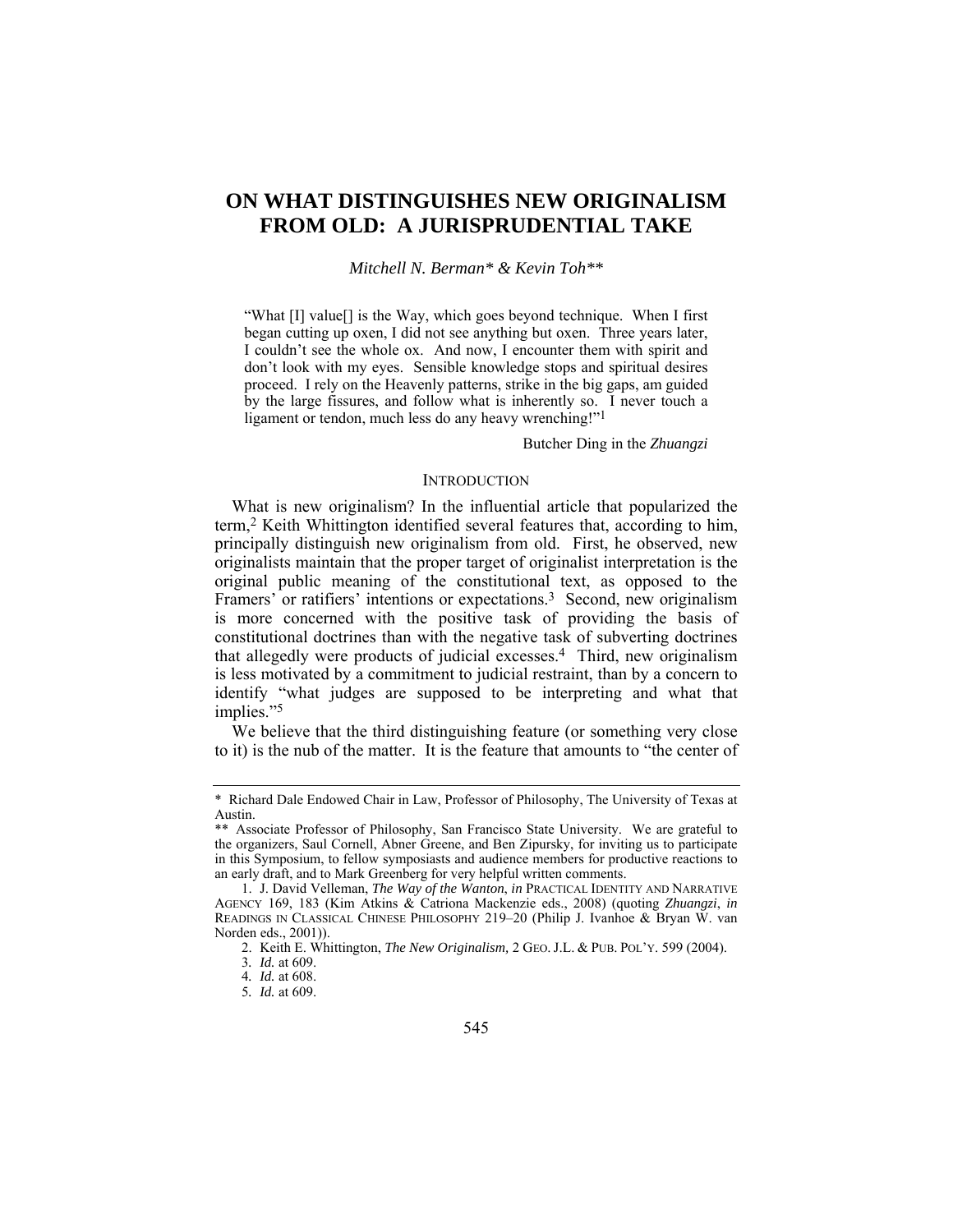### **ON WHAT DISTINGUISHES NEW ORIGINALISM FROM OLD: A JURISPRUDENTIAL TAKE**

#### *Mitchell N. Berman\* & Kevin Toh\*\**

"What [I] value[] is the Way, which goes beyond technique. When I first began cutting up oxen, I did not see anything but oxen. Three years later, I couldn't see the whole ox. And now, I encounter them with spirit and don't look with my eyes. Sensible knowledge stops and spiritual desires proceed. I rely on the Heavenly patterns, strike in the big gaps, am guided by the large fissures, and follow what is inherently so. I never touch a ligament or tendon, much less do any heavy wrenching!"<sup>1</sup>

Butcher Ding in the *Zhuangzi* 

#### **INTRODUCTION**

What is new originalism? In the influential article that popularized the term,2 Keith Whittington identified several features that, according to him, principally distinguish new originalism from old. First, he observed, new originalists maintain that the proper target of originalist interpretation is the original public meaning of the constitutional text, as opposed to the Framers' or ratifiers' intentions or expectations.<sup>3</sup> Second, new originalism is more concerned with the positive task of providing the basis of constitutional doctrines than with the negative task of subverting doctrines that allegedly were products of judicial excesses.4 Third, new originalism is less motivated by a commitment to judicial restraint, than by a concern to identify "what judges are supposed to be interpreting and what that implies."5

We believe that the third distinguishing feature (or something very close to it) is the nub of the matter. It is the feature that amounts to "the center of

<sup>\*</sup> Richard Dale Endowed Chair in Law, Professor of Philosophy, The University of Texas at Austin.

<sup>\*\*</sup> Associate Professor of Philosophy, San Francisco State University. We are grateful to the organizers, Saul Cornell, Abner Greene, and Ben Zipursky, for inviting us to participate in this Symposium, to fellow symposiasts and audience members for productive reactions to an early draft, and to Mark Greenberg for very helpful written comments.

 <sup>1.</sup> J. David Velleman, *The Way of the Wanton*, *in* PRACTICAL IDENTITY AND NARRATIVE AGENCY 169, 183 (Kim Atkins & Catriona Mackenzie eds., 2008) (quoting *Zhuangzi*, *in* READINGS IN CLASSICAL CHINESE PHILOSOPHY 219–20 (Philip J. Ivanhoe & Bryan W. van Norden eds., 2001)).

 <sup>2.</sup> Keith E. Whittington, *The New Originalism,* 2 GEO. J.L. & PUB. POL'Y. 599 (2004).

<sup>3</sup>*. Id.* at 609.

<sup>4</sup>*. Id.* at 608.

<sup>5</sup>*. Id.* at 609.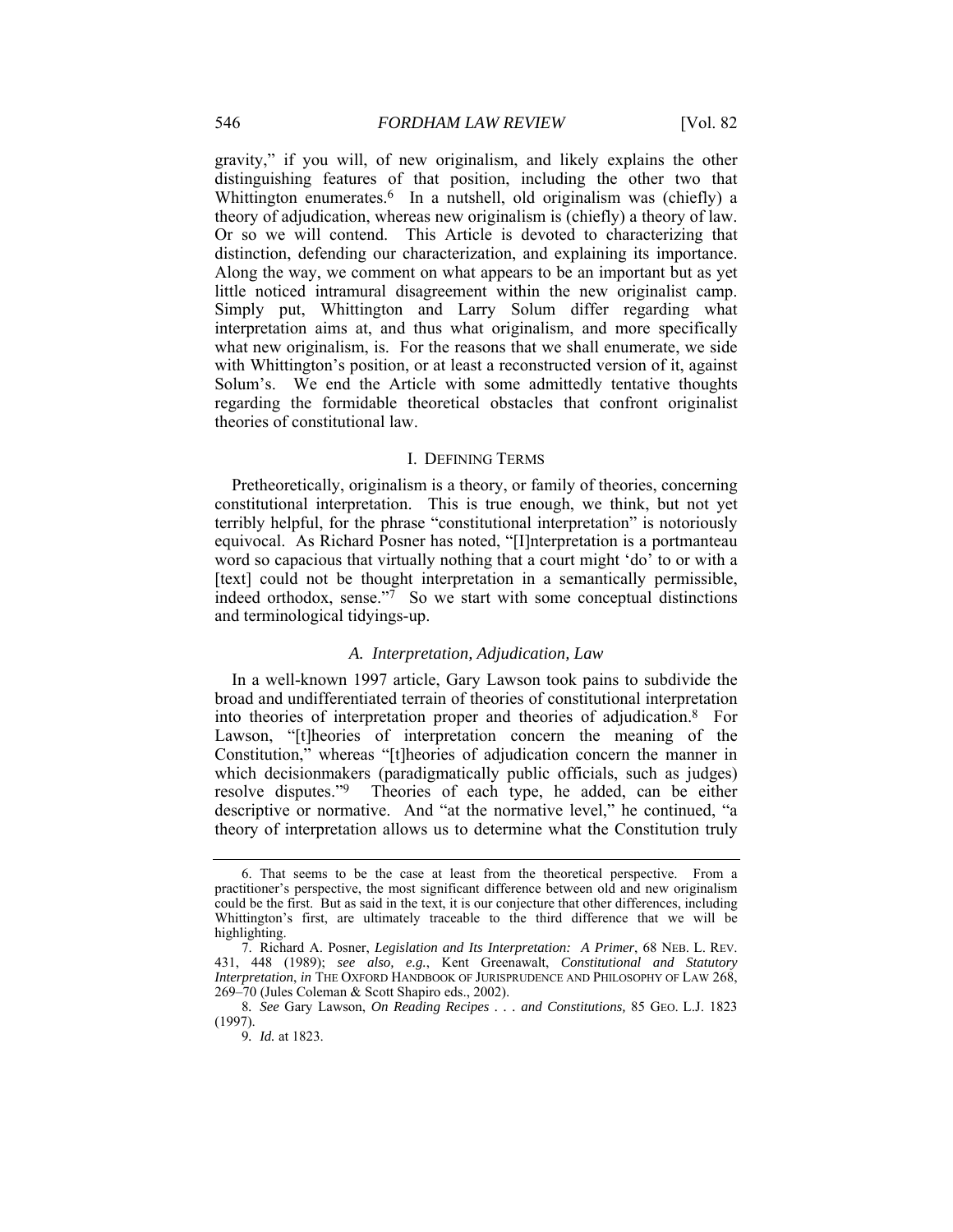gravity," if you will, of new originalism, and likely explains the other distinguishing features of that position, including the other two that Whittington enumerates.<sup>6</sup> In a nutshell, old originalism was (chiefly) a theory of adjudication, whereas new originalism is (chiefly) a theory of law. Or so we will contend. This Article is devoted to characterizing that distinction, defending our characterization, and explaining its importance. Along the way, we comment on what appears to be an important but as yet little noticed intramural disagreement within the new originalist camp. Simply put, Whittington and Larry Solum differ regarding what interpretation aims at, and thus what originalism, and more specifically what new originalism, is. For the reasons that we shall enumerate, we side with Whittington's position, or at least a reconstructed version of it, against Solum's. We end the Article with some admittedly tentative thoughts regarding the formidable theoretical obstacles that confront originalist theories of constitutional law.

#### I. DEFINING TERMS

Pretheoretically, originalism is a theory, or family of theories, concerning constitutional interpretation. This is true enough, we think, but not yet terribly helpful, for the phrase "constitutional interpretation" is notoriously equivocal. As Richard Posner has noted, "[I]nterpretation is a portmanteau word so capacious that virtually nothing that a court might 'do' to or with a [text] could not be thought interpretation in a semantically permissible, indeed orthodox, sense. $\frac{1}{7}$  So we start with some conceptual distinctions and terminological tidyings-up.

#### *A. Interpretation, Adjudication, Law*

In a well-known 1997 article, Gary Lawson took pains to subdivide the broad and undifferentiated terrain of theories of constitutional interpretation into theories of interpretation proper and theories of adjudication.8 For Lawson, "[t]heories of interpretation concern the meaning of the Constitution," whereas "[t]heories of adjudication concern the manner in which decisionmakers (paradigmatically public officials, such as judges) resolve disputes."9 Theories of each type, he added, can be either descriptive or normative. And "at the normative level," he continued, "a theory of interpretation allows us to determine what the Constitution truly

 <sup>6.</sup> That seems to be the case at least from the theoretical perspective. From a practitioner's perspective, the most significant difference between old and new originalism could be the first. But as said in the text, it is our conjecture that other differences, including Whittington's first, are ultimately traceable to the third difference that we will be highlighting.

 <sup>7.</sup> Richard A. Posner, *Legislation and Its Interpretation: A Primer*, 68 NEB. L. REV. 431, 448 (1989); *see also, e.g.*, Kent Greenawalt, *Constitutional and Statutory Interpretation*, *in* THE OXFORD HANDBOOK OF JURISPRUDENCE AND PHILOSOPHY OF LAW 268, 269–70 (Jules Coleman & Scott Shapiro eds., 2002).

<sup>8</sup>*. See* Gary Lawson, *On Reading Recipes . . . and Constitutions,* 85 GEO. L.J. 1823 (1997).

<sup>9</sup>*. Id.* at 1823.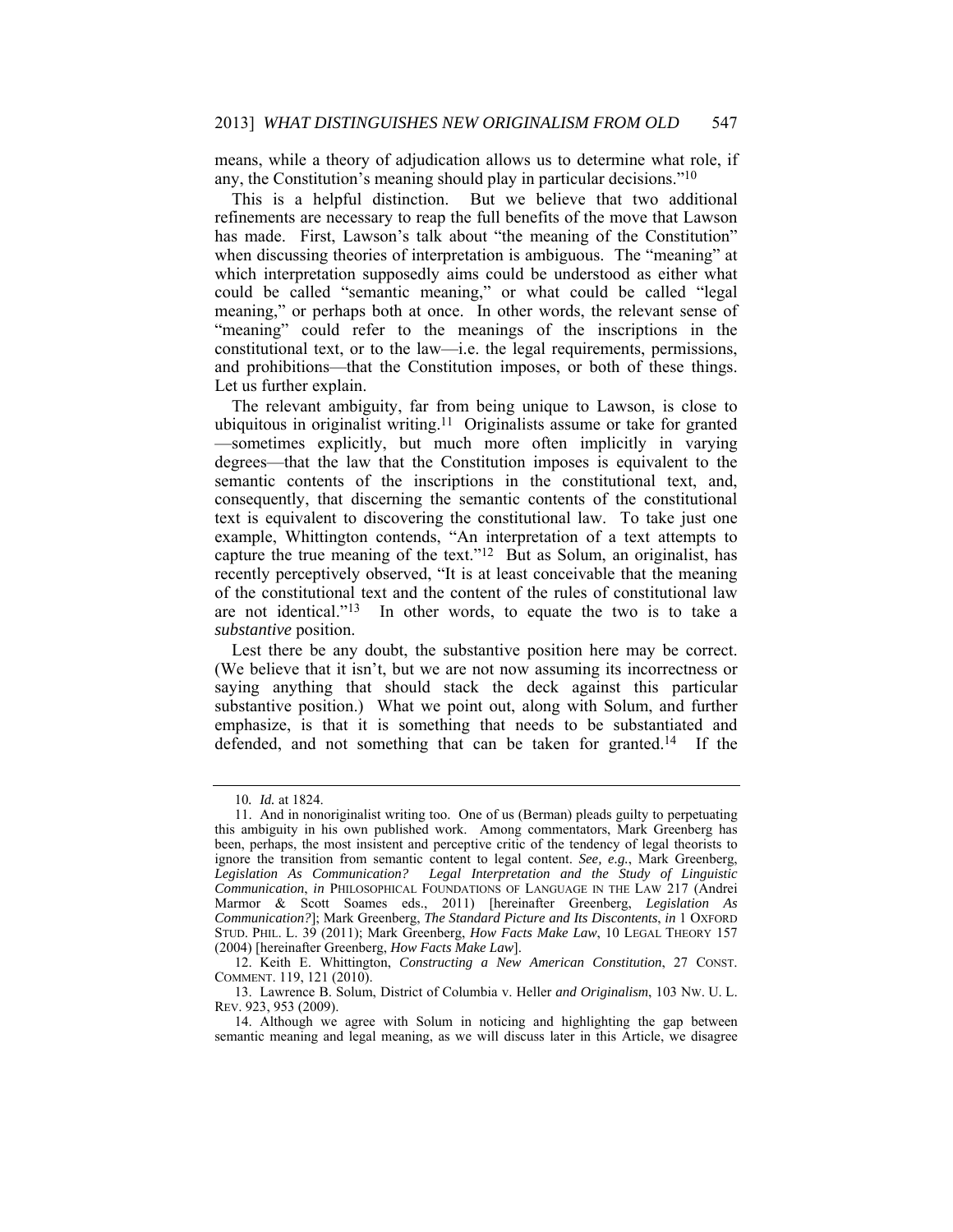means, while a theory of adjudication allows us to determine what role, if any, the Constitution's meaning should play in particular decisions."10

This is a helpful distinction. But we believe that two additional refinements are necessary to reap the full benefits of the move that Lawson has made. First, Lawson's talk about "the meaning of the Constitution" when discussing theories of interpretation is ambiguous. The "meaning" at which interpretation supposedly aims could be understood as either what could be called "semantic meaning," or what could be called "legal meaning," or perhaps both at once. In other words, the relevant sense of "meaning" could refer to the meanings of the inscriptions in the constitutional text, or to the law—i.e. the legal requirements, permissions, and prohibitions—that the Constitution imposes, or both of these things. Let us further explain.

The relevant ambiguity, far from being unique to Lawson, is close to ubiquitous in originalist writing.<sup>11</sup> Originalists assume or take for granted —sometimes explicitly, but much more often implicitly in varying degrees—that the law that the Constitution imposes is equivalent to the semantic contents of the inscriptions in the constitutional text, and, consequently, that discerning the semantic contents of the constitutional text is equivalent to discovering the constitutional law. To take just one example, Whittington contends, "An interpretation of a text attempts to capture the true meaning of the text."12 But as Solum, an originalist, has recently perceptively observed, "It is at least conceivable that the meaning of the constitutional text and the content of the rules of constitutional law are not identical."13 In other words, to equate the two is to take a *substantive* position.

Lest there be any doubt, the substantive position here may be correct. (We believe that it isn't, but we are not now assuming its incorrectness or saying anything that should stack the deck against this particular substantive position.) What we point out, along with Solum, and further emphasize, is that it is something that needs to be substantiated and defended, and not something that can be taken for granted.14 If the

<sup>10</sup>*. Id.* at 1824.

 <sup>11.</sup> And in nonoriginalist writing too. One of us (Berman) pleads guilty to perpetuating this ambiguity in his own published work. Among commentators, Mark Greenberg has been, perhaps, the most insistent and perceptive critic of the tendency of legal theorists to ignore the transition from semantic content to legal content. *See, e.g.*, Mark Greenberg, *Legislation As Communication? Legal Interpretation and the Study of Linguistic Communication*, *in* PHILOSOPHICAL FOUNDATIONS OF LANGUAGE IN THE LAW 217 (Andrei Marmor & Scott Soames eds., 2011) [hereinafter Greenberg, *Legislation As Communication?*]; Mark Greenberg, *The Standard Picture and Its Discontents*, *in* 1 OXFORD STUD. PHIL. L. 39 (2011); Mark Greenberg, *How Facts Make Law*, 10 LEGAL THEORY 157 (2004) [hereinafter Greenberg, *How Facts Make Law*].

 <sup>12.</sup> Keith E. Whittington, *Constructing a New American Constitution*, 27 CONST. COMMENT. 119, 121 (2010).

 <sup>13.</sup> Lawrence B. Solum, District of Columbia v. Heller *and Originalism*, 103 NW. U. L. REV. 923, 953 (2009).

 <sup>14.</sup> Although we agree with Solum in noticing and highlighting the gap between semantic meaning and legal meaning, as we will discuss later in this Article, we disagree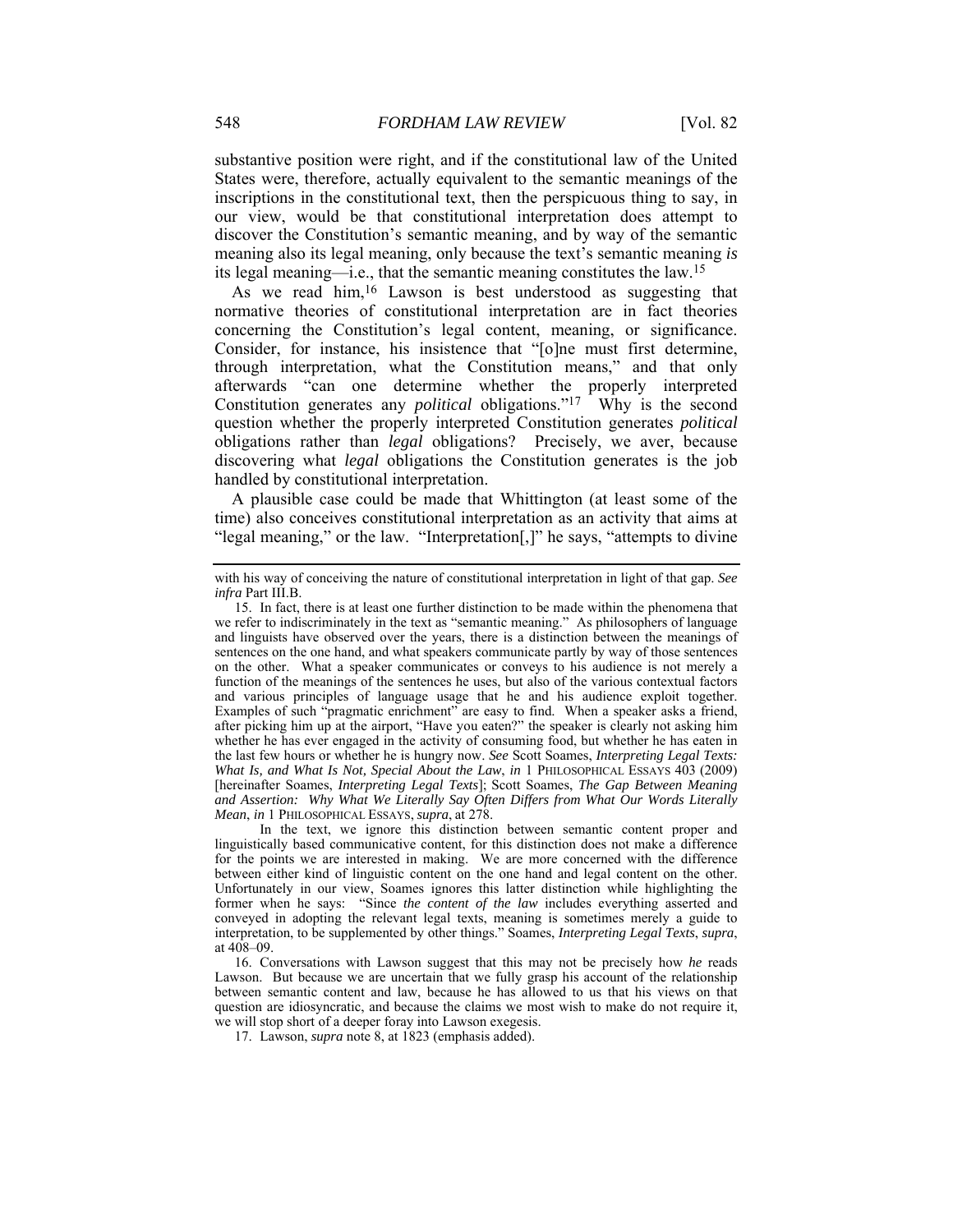substantive position were right, and if the constitutional law of the United States were, therefore, actually equivalent to the semantic meanings of the inscriptions in the constitutional text, then the perspicuous thing to say, in our view, would be that constitutional interpretation does attempt to discover the Constitution's semantic meaning, and by way of the semantic meaning also its legal meaning, only because the text's semantic meaning *is* its legal meaning—i.e., that the semantic meaning constitutes the law.15

As we read him,16 Lawson is best understood as suggesting that normative theories of constitutional interpretation are in fact theories concerning the Constitution's legal content, meaning, or significance. Consider, for instance, his insistence that "[o]ne must first determine, through interpretation, what the Constitution means," and that only afterwards "can one determine whether the properly interpreted Constitution generates any *political* obligations."17 Why is the second question whether the properly interpreted Constitution generates *political* obligations rather than *legal* obligations? Precisely, we aver, because discovering what *legal* obligations the Constitution generates is the job handled by constitutional interpretation.

A plausible case could be made that Whittington (at least some of the time) also conceives constitutional interpretation as an activity that aims at "legal meaning," or the law. "Interpretation[,]" he says, "attempts to divine

with his way of conceiving the nature of constitutional interpretation in light of that gap. *See infra* Part III.B.

 <sup>15.</sup> In fact, there is at least one further distinction to be made within the phenomena that we refer to indiscriminately in the text as "semantic meaning." As philosophers of language and linguists have observed over the years, there is a distinction between the meanings of sentences on the one hand, and what speakers communicate partly by way of those sentences on the other. What a speaker communicates or conveys to his audience is not merely a function of the meanings of the sentences he uses, but also of the various contextual factors and various principles of language usage that he and his audience exploit together. Examples of such "pragmatic enrichment" are easy to find. When a speaker asks a friend, after picking him up at the airport, "Have you eaten?" the speaker is clearly not asking him whether he has ever engaged in the activity of consuming food, but whether he has eaten in the last few hours or whether he is hungry now. *See* Scott Soames, *Interpreting Legal Texts: What Is, and What Is Not, Special About the Law*, *in* 1 PHILOSOPHICAL ESSAYS 403 (2009) [hereinafter Soames, *Interpreting Legal Texts*]; Scott Soames, *The Gap Between Meaning and Assertion: Why What We Literally Say Often Differs from What Our Words Literally Mean*, *in* 1 PHILOSOPHICAL ESSAYS, *supra*, at 278.

In the text, we ignore this distinction between semantic content proper and linguistically based communicative content, for this distinction does not make a difference for the points we are interested in making. We are more concerned with the difference between either kind of linguistic content on the one hand and legal content on the other. Unfortunately in our view, Soames ignores this latter distinction while highlighting the former when he says: "Since *the content of the law* includes everything asserted and conveyed in adopting the relevant legal texts, meaning is sometimes merely a guide to interpretation, to be supplemented by other things." Soames, *Interpreting Legal Texts*, *supra*, at 408–09.

 <sup>16.</sup> Conversations with Lawson suggest that this may not be precisely how *he* reads Lawson. But because we are uncertain that we fully grasp his account of the relationship between semantic content and law, because he has allowed to us that his views on that question are idiosyncratic, and because the claims we most wish to make do not require it, we will stop short of a deeper foray into Lawson exegesis.

 <sup>17.</sup> Lawson, *supra* note 8, at 1823 (emphasis added).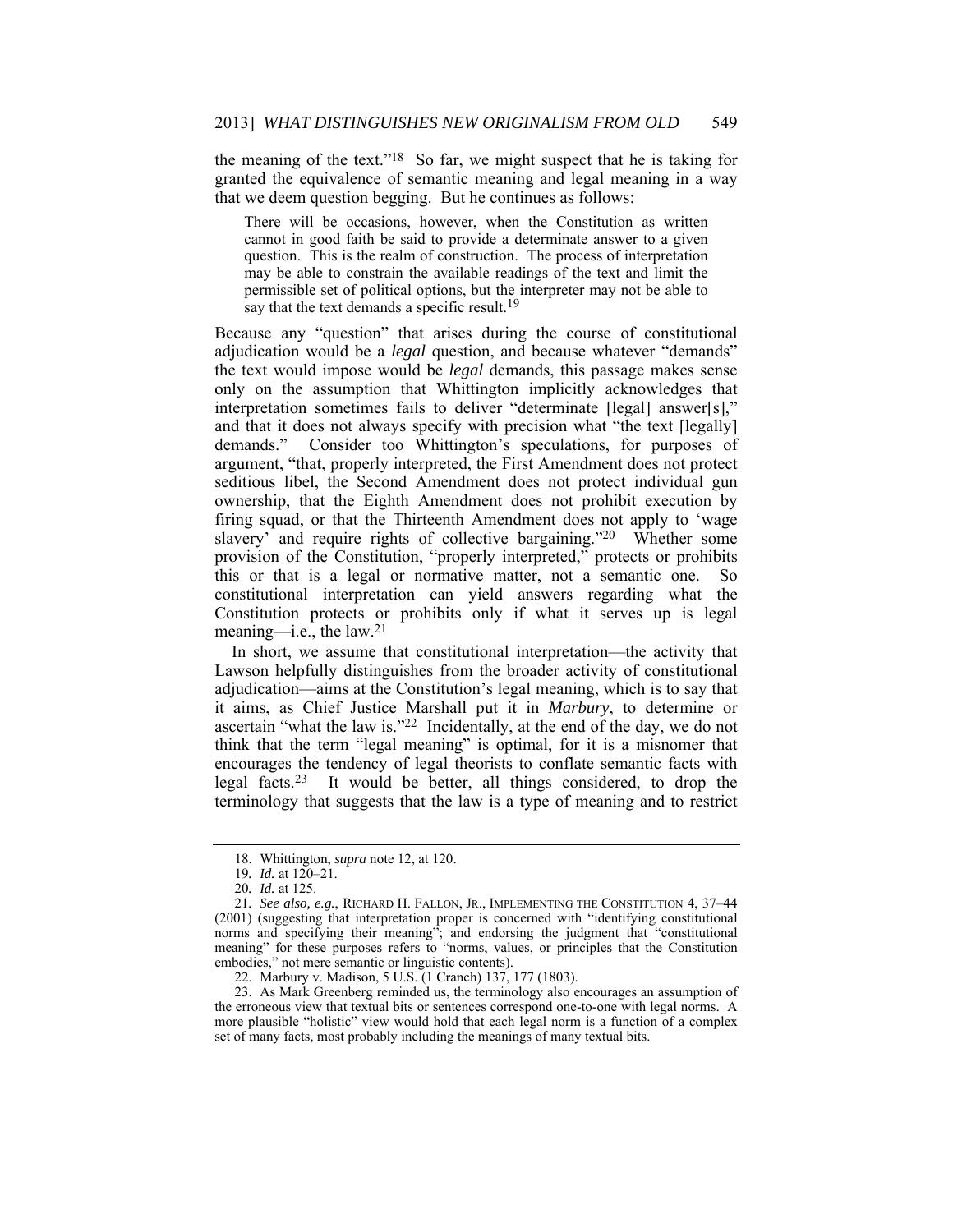the meaning of the text."18 So far, we might suspect that he is taking for granted the equivalence of semantic meaning and legal meaning in a way that we deem question begging. But he continues as follows:

There will be occasions, however, when the Constitution as written cannot in good faith be said to provide a determinate answer to a given question. This is the realm of construction. The process of interpretation may be able to constrain the available readings of the text and limit the permissible set of political options, but the interpreter may not be able to say that the text demands a specific result.<sup>19</sup>

Because any "question" that arises during the course of constitutional adjudication would be a *legal* question, and because whatever "demands" the text would impose would be *legal* demands, this passage makes sense only on the assumption that Whittington implicitly acknowledges that interpretation sometimes fails to deliver "determinate [legal] answer[s]," and that it does not always specify with precision what "the text [legally] demands." Consider too Whittington's speculations, for purposes of argument, "that, properly interpreted, the First Amendment does not protect seditious libel, the Second Amendment does not protect individual gun ownership, that the Eighth Amendment does not prohibit execution by firing squad, or that the Thirteenth Amendment does not apply to 'wage slavery' and require rights of collective bargaining."20 Whether some provision of the Constitution, "properly interpreted," protects or prohibits this or that is a legal or normative matter, not a semantic one. So constitutional interpretation can yield answers regarding what the Constitution protects or prohibits only if what it serves up is legal meaning—i.e., the law.21

In short, we assume that constitutional interpretation—the activity that Lawson helpfully distinguishes from the broader activity of constitutional adjudication—aims at the Constitution's legal meaning, which is to say that it aims, as Chief Justice Marshall put it in *Marbury*, to determine or ascertain "what the law is."22 Incidentally, at the end of the day, we do not think that the term "legal meaning" is optimal, for it is a misnomer that encourages the tendency of legal theorists to conflate semantic facts with legal facts.23 It would be better, all things considered, to drop the terminology that suggests that the law is a type of meaning and to restrict

 <sup>18.</sup> Whittington, *supra* note 12, at 120.

<sup>19</sup>*. Id.* at 120–21.

<sup>20</sup>*. Id.* at 125.

<sup>21</sup>*. See also, e.g.*, RICHARD H. FALLON, JR., IMPLEMENTING THE CONSTITUTION 4, 37–44 (2001) (suggesting that interpretation proper is concerned with "identifying constitutional norms and specifying their meaning"; and endorsing the judgment that "constitutional meaning" for these purposes refers to "norms, values, or principles that the Constitution embodies," not mere semantic or linguistic contents).

 <sup>22.</sup> Marbury v. Madison, 5 U.S. (1 Cranch) 137, 177 (1803).

 <sup>23.</sup> As Mark Greenberg reminded us, the terminology also encourages an assumption of the erroneous view that textual bits or sentences correspond one-to-one with legal norms. A more plausible "holistic" view would hold that each legal norm is a function of a complex set of many facts, most probably including the meanings of many textual bits.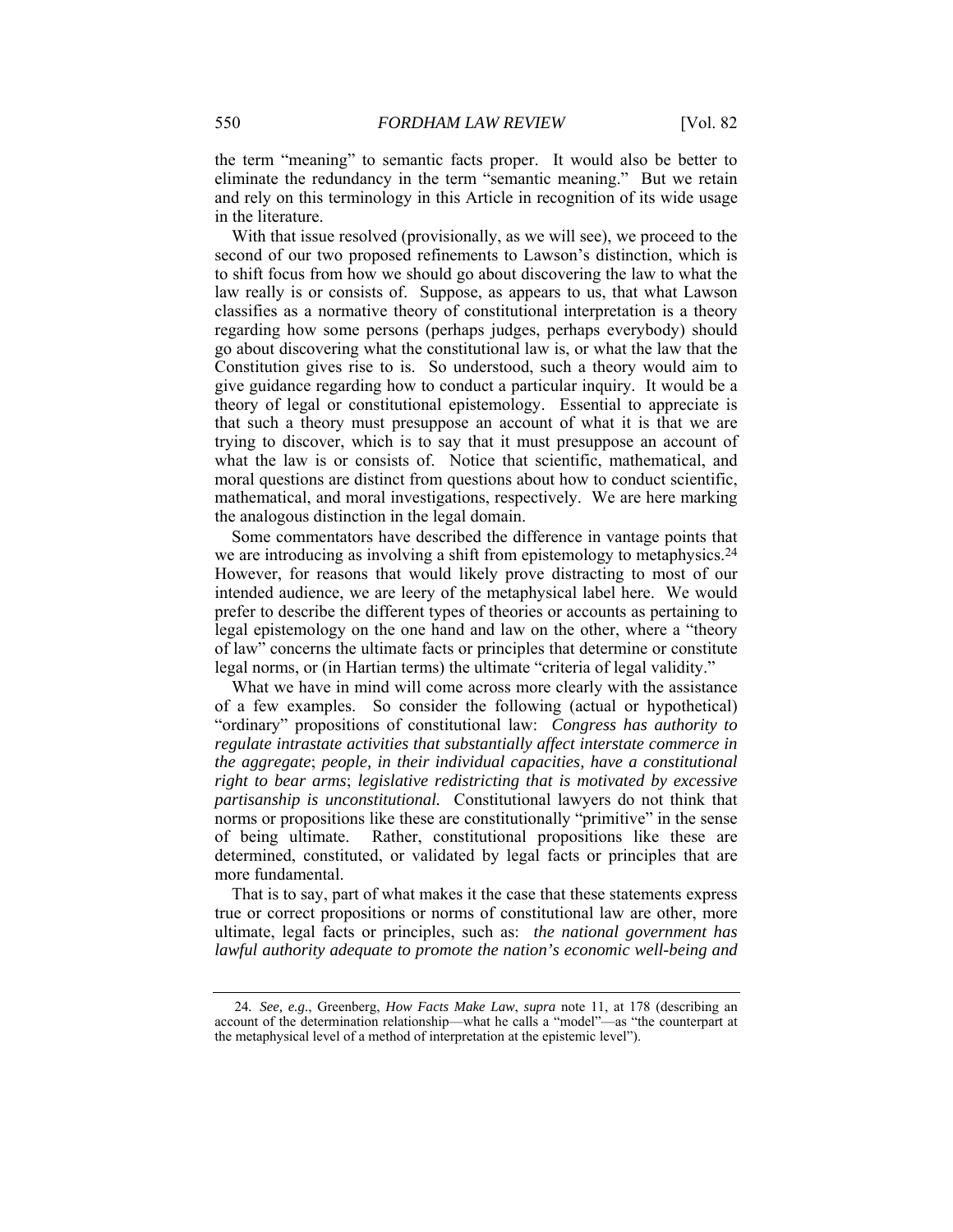the term "meaning" to semantic facts proper. It would also be better to eliminate the redundancy in the term "semantic meaning." But we retain and rely on this terminology in this Article in recognition of its wide usage in the literature.

With that issue resolved (provisionally, as we will see), we proceed to the second of our two proposed refinements to Lawson's distinction, which is to shift focus from how we should go about discovering the law to what the law really is or consists of. Suppose, as appears to us, that what Lawson classifies as a normative theory of constitutional interpretation is a theory regarding how some persons (perhaps judges, perhaps everybody) should go about discovering what the constitutional law is, or what the law that the Constitution gives rise to is. So understood, such a theory would aim to give guidance regarding how to conduct a particular inquiry. It would be a theory of legal or constitutional epistemology. Essential to appreciate is that such a theory must presuppose an account of what it is that we are trying to discover, which is to say that it must presuppose an account of what the law is or consists of. Notice that scientific, mathematical, and moral questions are distinct from questions about how to conduct scientific, mathematical, and moral investigations, respectively. We are here marking the analogous distinction in the legal domain.

Some commentators have described the difference in vantage points that we are introducing as involving a shift from epistemology to metaphysics.<sup>24</sup> However, for reasons that would likely prove distracting to most of our intended audience, we are leery of the metaphysical label here. We would prefer to describe the different types of theories or accounts as pertaining to legal epistemology on the one hand and law on the other, where a "theory of law" concerns the ultimate facts or principles that determine or constitute legal norms, or (in Hartian terms) the ultimate "criteria of legal validity."

What we have in mind will come across more clearly with the assistance of a few examples. So consider the following (actual or hypothetical) "ordinary" propositions of constitutional law: *Congress has authority to regulate intrastate activities that substantially affect interstate commerce in the aggregate*; *people, in their individual capacities, have a constitutional right to bear arms*; *legislative redistricting that is motivated by excessive partisanship is unconstitutional.* Constitutional lawyers do not think that norms or propositions like these are constitutionally "primitive" in the sense of being ultimate. Rather, constitutional propositions like these are determined, constituted, or validated by legal facts or principles that are more fundamental.

That is to say, part of what makes it the case that these statements express true or correct propositions or norms of constitutional law are other, more ultimate, legal facts or principles, such as: *the national government has lawful authority adequate to promote the nation's economic well-being and* 

<sup>24</sup>*. See, e.g.*, Greenberg, *How Facts Make Law*, *supra* note 11, at 178 (describing an account of the determination relationship—what he calls a "model"—as "the counterpart at the metaphysical level of a method of interpretation at the epistemic level").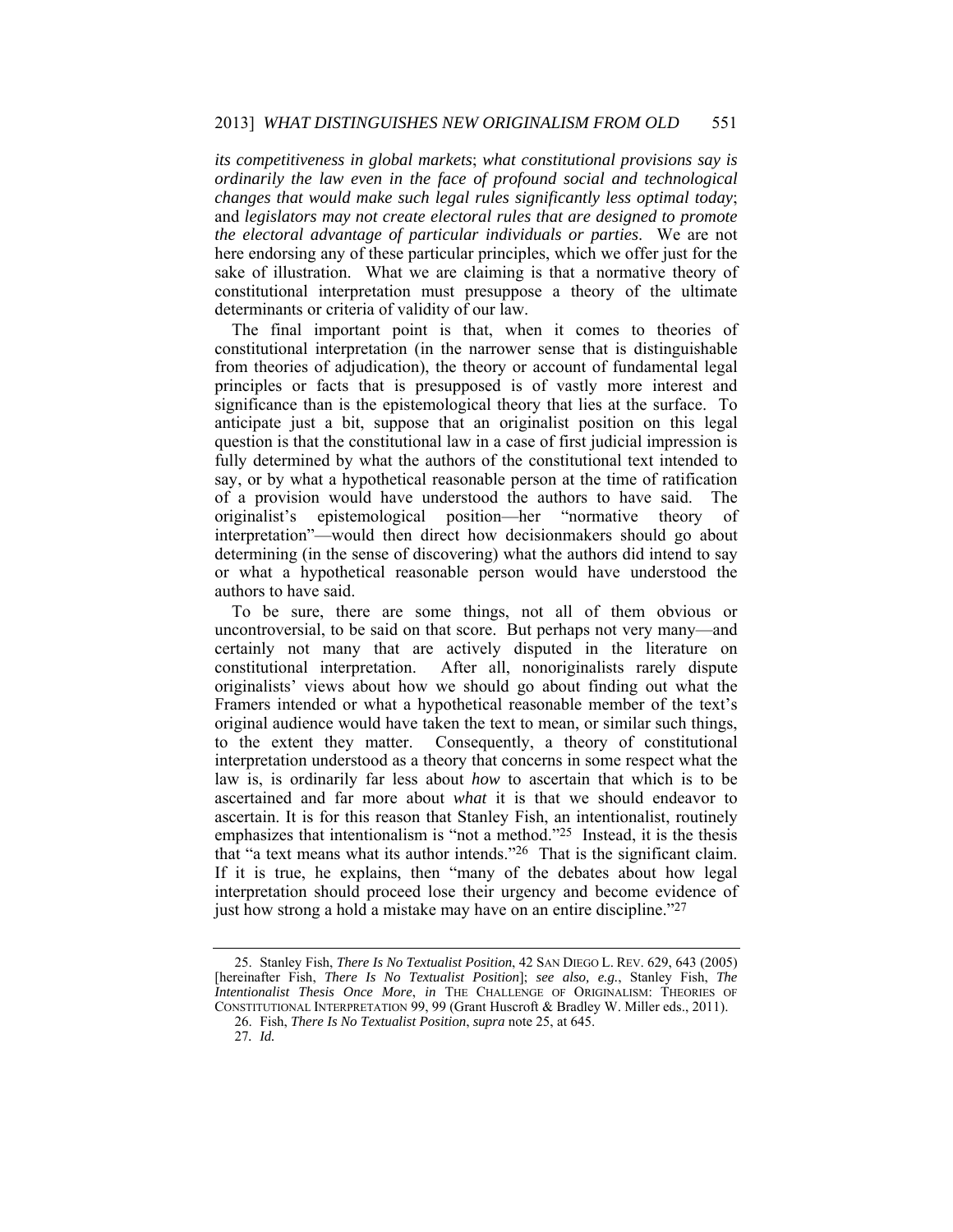*its competitiveness in global markets*; *what constitutional provisions say is ordinarily the law even in the face of profound social and technological changes that would make such legal rules significantly less optimal today*; and *legislators may not create electoral rules that are designed to promote the electoral advantage of particular individuals or parties*. We are not here endorsing any of these particular principles, which we offer just for the sake of illustration. What we are claiming is that a normative theory of constitutional interpretation must presuppose a theory of the ultimate determinants or criteria of validity of our law.

The final important point is that, when it comes to theories of constitutional interpretation (in the narrower sense that is distinguishable from theories of adjudication), the theory or account of fundamental legal principles or facts that is presupposed is of vastly more interest and significance than is the epistemological theory that lies at the surface. To anticipate just a bit, suppose that an originalist position on this legal question is that the constitutional law in a case of first judicial impression is fully determined by what the authors of the constitutional text intended to say, or by what a hypothetical reasonable person at the time of ratification of a provision would have understood the authors to have said. originalist's epistemological position—her "normative theory of interpretation"—would then direct how decisionmakers should go about determining (in the sense of discovering) what the authors did intend to say or what a hypothetical reasonable person would have understood the authors to have said.

To be sure, there are some things, not all of them obvious or uncontroversial, to be said on that score. But perhaps not very many—and certainly not many that are actively disputed in the literature on constitutional interpretation. After all, nonoriginalists rarely dispute originalists' views about how we should go about finding out what the Framers intended or what a hypothetical reasonable member of the text's original audience would have taken the text to mean, or similar such things, to the extent they matter. Consequently, a theory of constitutional interpretation understood as a theory that concerns in some respect what the law is, is ordinarily far less about *how* to ascertain that which is to be ascertained and far more about *what* it is that we should endeavor to ascertain. It is for this reason that Stanley Fish, an intentionalist, routinely emphasizes that intentionalism is "not a method."25 Instead, it is the thesis that "a text means what its author intends."26 That is the significant claim. If it is true, he explains, then "many of the debates about how legal interpretation should proceed lose their urgency and become evidence of just how strong a hold a mistake may have on an entire discipline."27

 <sup>25.</sup> Stanley Fish, *There Is No Textualist Position*, 42 SAN DIEGO L. REV. 629, 643 (2005) [hereinafter Fish, *There Is No Textualist Position*]; *see also, e.g.*, Stanley Fish, *The Intentionalist Thesis Once More*, *in* THE CHALLENGE OF ORIGINALISM: THEORIES OF CONSTITUTIONAL INTERPRETATION 99, 99 (Grant Huscroft & Bradley W. Miller eds., 2011).

 <sup>26.</sup> Fish, *There Is No Textualist Position*, *supra* note 25, at 645.

<sup>27</sup>*. Id.*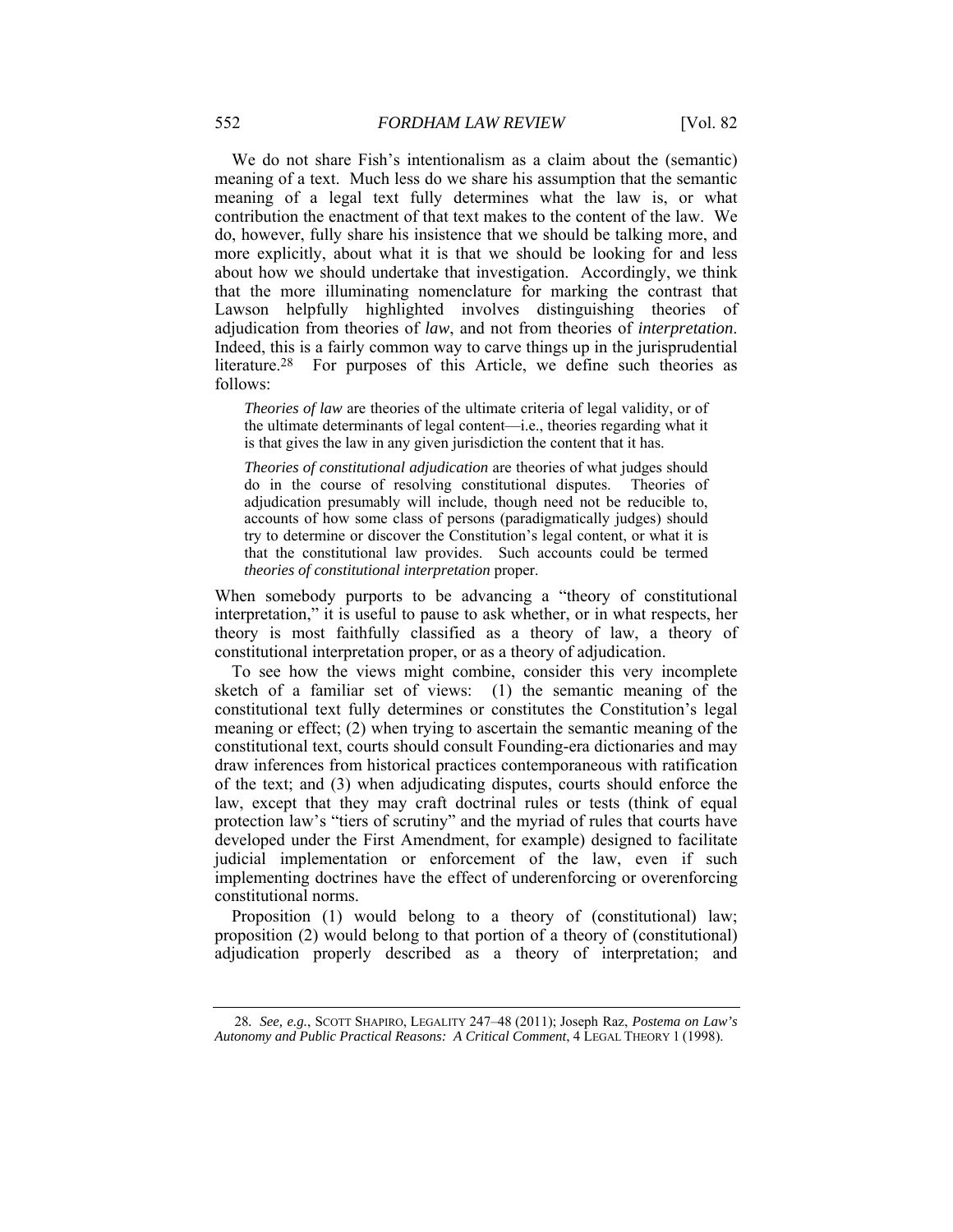We do not share Fish's intentionalism as a claim about the (semantic) meaning of a text. Much less do we share his assumption that the semantic meaning of a legal text fully determines what the law is, or what contribution the enactment of that text makes to the content of the law. We do, however, fully share his insistence that we should be talking more, and more explicitly, about what it is that we should be looking for and less about how we should undertake that investigation. Accordingly, we think that the more illuminating nomenclature for marking the contrast that Lawson helpfully highlighted involves distinguishing theories of adjudication from theories of *law*, and not from theories of *interpretation*. Indeed, this is a fairly common way to carve things up in the jurisprudential literature.28 For purposes of this Article, we define such theories as follows:

*Theories of law* are theories of the ultimate criteria of legal validity, or of the ultimate determinants of legal content—i.e., theories regarding what it is that gives the law in any given jurisdiction the content that it has.

*Theories of constitutional adjudication* are theories of what judges should do in the course of resolving constitutional disputes. Theories of adjudication presumably will include, though need not be reducible to, accounts of how some class of persons (paradigmatically judges) should try to determine or discover the Constitution's legal content, or what it is that the constitutional law provides. Such accounts could be termed *theories of constitutional interpretation* proper.

When somebody purports to be advancing a "theory of constitutional interpretation," it is useful to pause to ask whether, or in what respects, her theory is most faithfully classified as a theory of law, a theory of constitutional interpretation proper, or as a theory of adjudication.

To see how the views might combine, consider this very incomplete sketch of a familiar set of views: (1) the semantic meaning of the constitutional text fully determines or constitutes the Constitution's legal meaning or effect; (2) when trying to ascertain the semantic meaning of the constitutional text, courts should consult Founding-era dictionaries and may draw inferences from historical practices contemporaneous with ratification of the text; and (3) when adjudicating disputes, courts should enforce the law, except that they may craft doctrinal rules or tests (think of equal protection law's "tiers of scrutiny" and the myriad of rules that courts have developed under the First Amendment, for example) designed to facilitate judicial implementation or enforcement of the law, even if such implementing doctrines have the effect of underenforcing or overenforcing constitutional norms.

Proposition (1) would belong to a theory of (constitutional) law; proposition (2) would belong to that portion of a theory of (constitutional) adjudication properly described as a theory of interpretation; and

<sup>28</sup>*. See, e.g.*, SCOTT SHAPIRO, LEGALITY 247–48 (2011); Joseph Raz, *Postema on Law's Autonomy and Public Practical Reasons: A Critical Comment*, 4 LEGAL THEORY 1 (1998).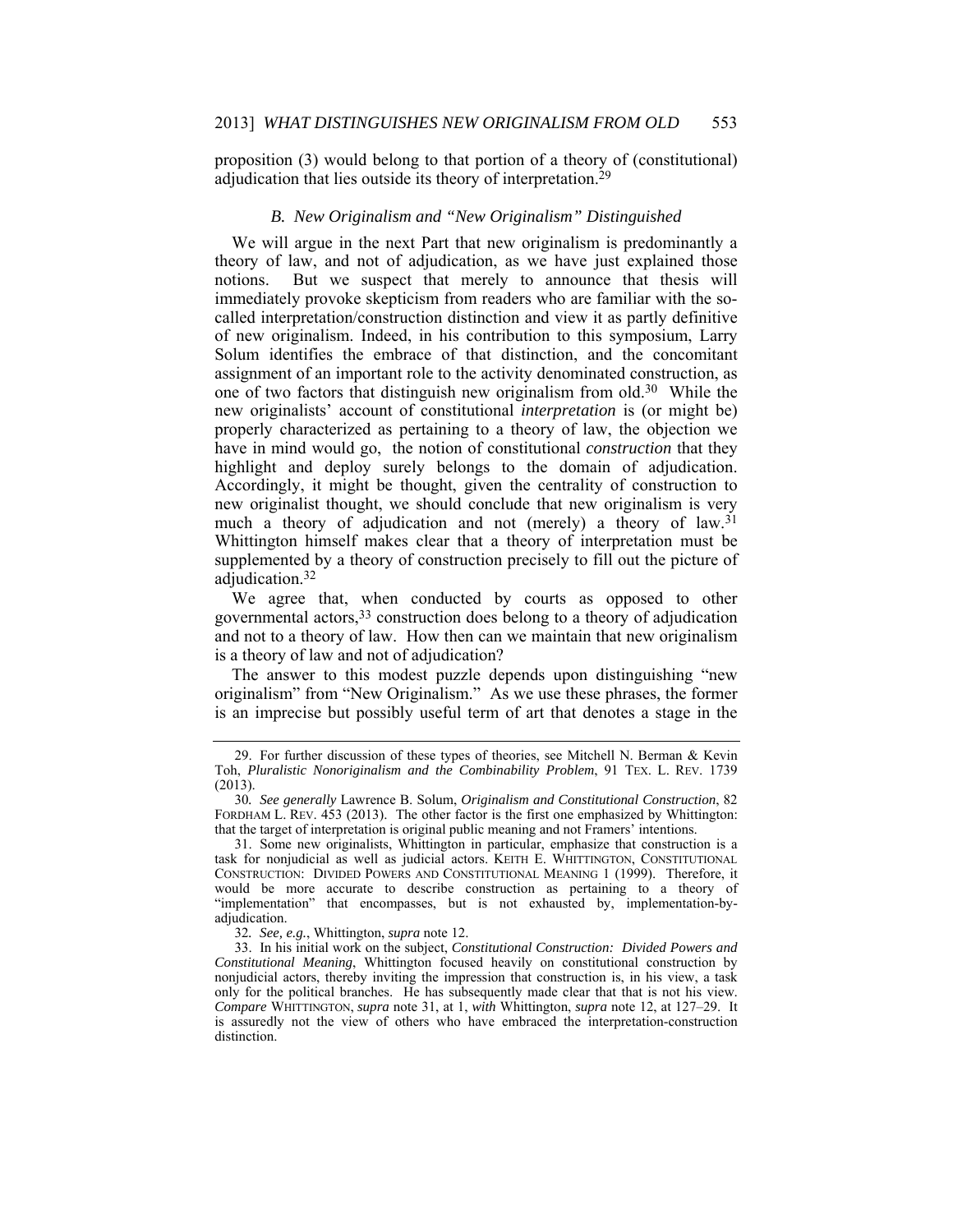proposition (3) would belong to that portion of a theory of (constitutional) adjudication that lies outside its theory of interpretation.<sup>29</sup>

#### *B. New Originalism and "New Originalism" Distinguished*

We will argue in the next Part that new originalism is predominantly a theory of law, and not of adjudication, as we have just explained those notions. But we suspect that merely to announce that thesis will immediately provoke skepticism from readers who are familiar with the socalled interpretation/construction distinction and view it as partly definitive of new originalism. Indeed, in his contribution to this symposium, Larry Solum identifies the embrace of that distinction, and the concomitant assignment of an important role to the activity denominated construction, as one of two factors that distinguish new originalism from old.30 While the new originalists' account of constitutional *interpretation* is (or might be) properly characterized as pertaining to a theory of law, the objection we have in mind would go, the notion of constitutional *construction* that they highlight and deploy surely belongs to the domain of adjudication. Accordingly, it might be thought, given the centrality of construction to new originalist thought, we should conclude that new originalism is very much a theory of adjudication and not (merely) a theory of law.<sup>31</sup> Whittington himself makes clear that a theory of interpretation must be supplemented by a theory of construction precisely to fill out the picture of adjudication.32

We agree that, when conducted by courts as opposed to other governmental actors,33 construction does belong to a theory of adjudication and not to a theory of law. How then can we maintain that new originalism is a theory of law and not of adjudication?

The answer to this modest puzzle depends upon distinguishing "new originalism" from "New Originalism." As we use these phrases, the former is an imprecise but possibly useful term of art that denotes a stage in the

 <sup>29.</sup> For further discussion of these types of theories, see Mitchell N. Berman & Kevin Toh, *Pluralistic Nonoriginalism and the Combinability Problem*, 91 TEX. L. REV. 1739 (2013).

<sup>30</sup>*. See generally* Lawrence B. Solum, *Originalism and Constitutional Construction*, 82 FORDHAM L. REV. 453 (2013). The other factor is the first one emphasized by Whittington: that the target of interpretation is original public meaning and not Framers' intentions.

 <sup>31.</sup> Some new originalists, Whittington in particular, emphasize that construction is a task for nonjudicial as well as judicial actors. KEITH E. WHITTINGTON, CONSTITUTIONAL CONSTRUCTION: DIVIDED POWERS AND CONSTITUTIONAL MEANING 1 (1999). Therefore, it would be more accurate to describe construction as pertaining to a theory of "implementation" that encompasses, but is not exhausted by, implementation-byadjudication.

<sup>32</sup>*. See, e.g.*, Whittington, *supra* note 12.

 <sup>33.</sup> In his initial work on the subject, *Constitutional Construction: Divided Powers and Constitutional Meaning*, Whittington focused heavily on constitutional construction by nonjudicial actors, thereby inviting the impression that construction is, in his view, a task only for the political branches. He has subsequently made clear that that is not his view. *Compare* WHITTINGTON, *supra* note 31, at 1, *with* Whittington, *supra* note 12, at 127–29. It is assuredly not the view of others who have embraced the interpretation-construction distinction.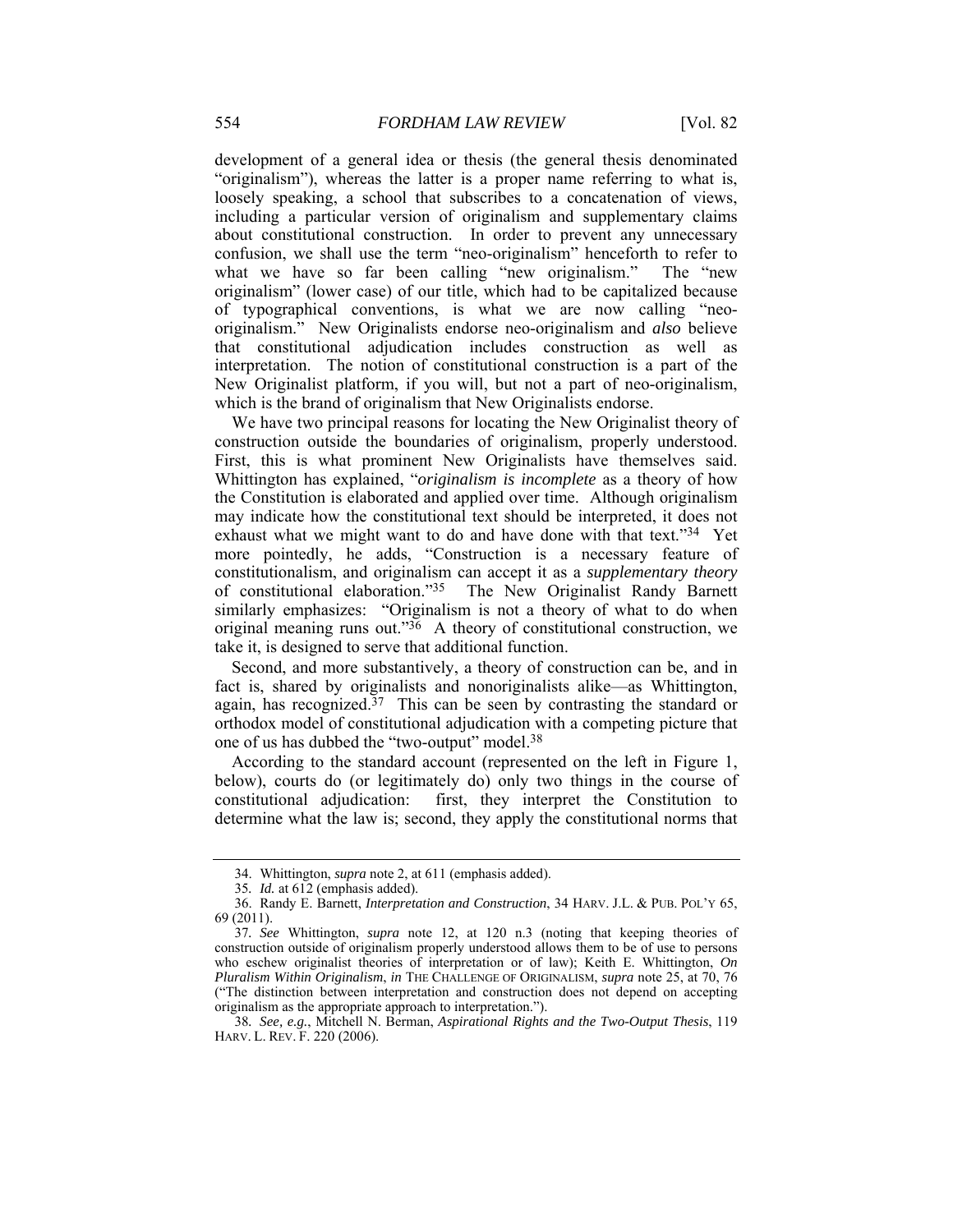development of a general idea or thesis (the general thesis denominated "originalism"), whereas the latter is a proper name referring to what is, loosely speaking, a school that subscribes to a concatenation of views, including a particular version of originalism and supplementary claims about constitutional construction. In order to prevent any unnecessary confusion, we shall use the term "neo-originalism" henceforth to refer to what we have so far been calling "new originalism." The "new originalism" (lower case) of our title, which had to be capitalized because of typographical conventions, is what we are now calling "neooriginalism." New Originalists endorse neo-originalism and *also* believe that constitutional adjudication includes construction as well as interpretation. The notion of constitutional construction is a part of the New Originalist platform, if you will, but not a part of neo-originalism, which is the brand of originalism that New Originalists endorse.

We have two principal reasons for locating the New Originalist theory of construction outside the boundaries of originalism, properly understood. First, this is what prominent New Originalists have themselves said. Whittington has explained, "*originalism is incomplete* as a theory of how the Constitution is elaborated and applied over time. Although originalism may indicate how the constitutional text should be interpreted, it does not exhaust what we might want to do and have done with that text."<sup>34</sup> Yet more pointedly, he adds, "Construction is a necessary feature of constitutionalism, and originalism can accept it as a *supplementary theory* The New Originalist Randy Barnett similarly emphasizes: "Originalism is not a theory of what to do when original meaning runs out." $36$  A theory of constitutional construction, we take it, is designed to serve that additional function.

Second, and more substantively, a theory of construction can be, and in fact is, shared by originalists and nonoriginalists alike—as Whittington, again, has recognized.<sup>37</sup> This can be seen by contrasting the standard or orthodox model of constitutional adjudication with a competing picture that one of us has dubbed the "two-output" model.38

According to the standard account (represented on the left in Figure 1, below), courts do (or legitimately do) only two things in the course of constitutional adjudication: first, they interpret the Constitution to determine what the law is; second, they apply the constitutional norms that

 <sup>34.</sup> Whittington, *supra* note 2, at 611 (emphasis added).

<sup>35</sup>*. Id.* at 612 (emphasis added).

 <sup>36.</sup> Randy E. Barnett, *Interpretation and Construction*, 34 HARV. J.L. & PUB. POL'Y 65, 69 (2011).

<sup>37</sup>*. See* Whittington, *supra* note 12, at 120 n.3 (noting that keeping theories of construction outside of originalism properly understood allows them to be of use to persons who eschew originalist theories of interpretation or of law); Keith E. Whittington, *On Pluralism Within Originalism*, *in* THE CHALLENGE OF ORIGINALISM, *supra* note 25, at 70, 76 ("The distinction between interpretation and construction does not depend on accepting originalism as the appropriate approach to interpretation.").

<sup>38</sup>*. See, e.g.*, Mitchell N. Berman, *Aspirational Rights and the Two-Output Thesis*, 119 HARV. L. REV. F. 220 (2006).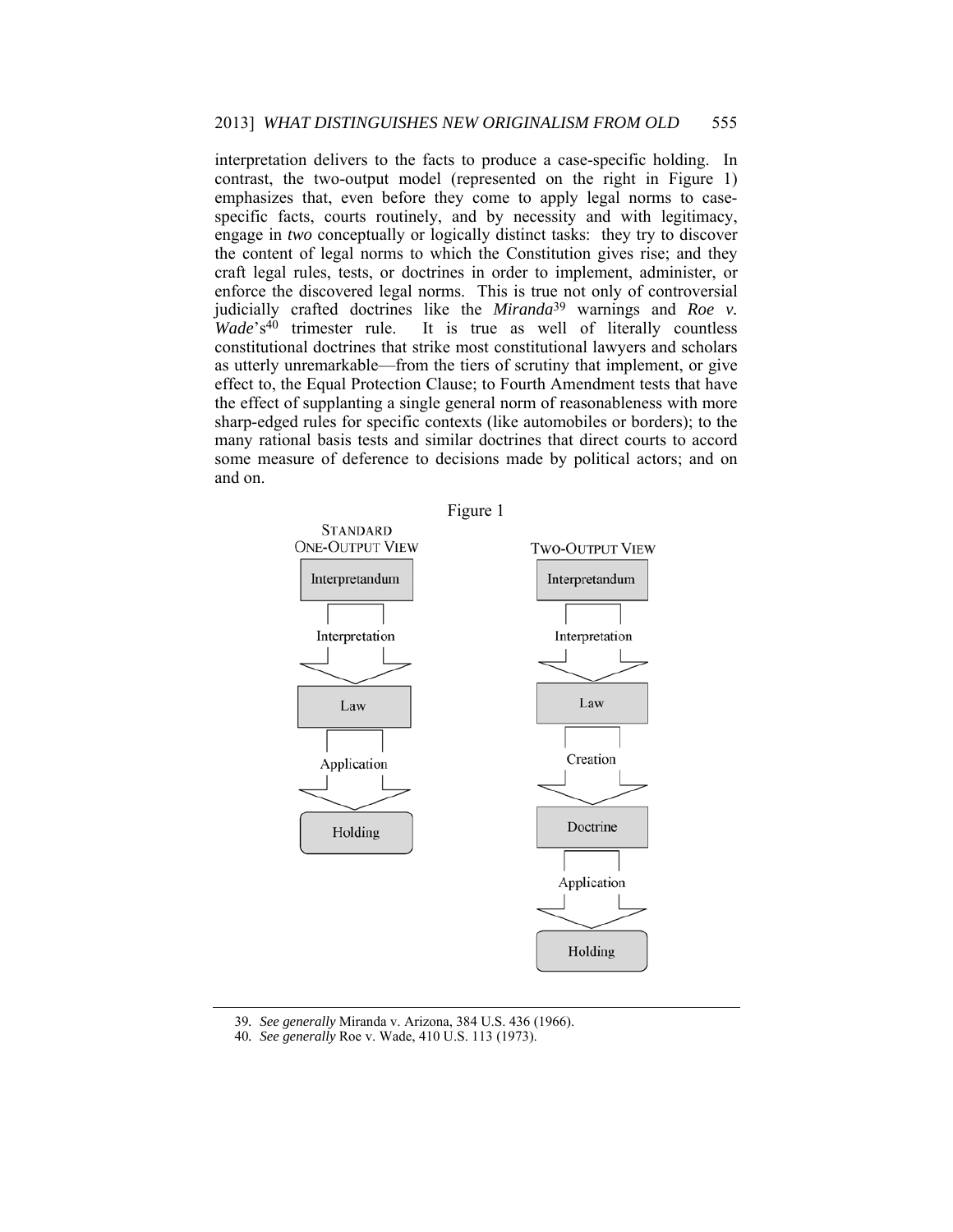interpretation delivers to the facts to produce a case-specific holding. In contrast, the two-output model (represented on the right in Figure 1) emphasizes that, even before they come to apply legal norms to casespecific facts, courts routinely, and by necessity and with legitimacy, engage in *two* conceptually or logically distinct tasks: they try to discover the content of legal norms to which the Constitution gives rise; and they craft legal rules, tests, or doctrines in order to implement, administer, or enforce the discovered legal norms. This is true not only of controversial judicially crafted doctrines like the *Miranda*<sup>39</sup> warnings and *Roe v. Wade*'s<sup>40</sup> trimester rule. It is true as well of literally countless It is true as well of literally countless constitutional doctrines that strike most constitutional lawyers and scholars as utterly unremarkable—from the tiers of scrutiny that implement, or give effect to, the Equal Protection Clause; to Fourth Amendment tests that have the effect of supplanting a single general norm of reasonableness with more sharp-edged rules for specific contexts (like automobiles or borders); to the many rational basis tests and similar doctrines that direct courts to accord some measure of deference to decisions made by political actors; and on and on.



39*. See generally* Miranda v. Arizona, 384 U.S. 436 (1966).

<sup>40</sup>*. See generally* Roe v. Wade, 410 U.S. 113 (1973).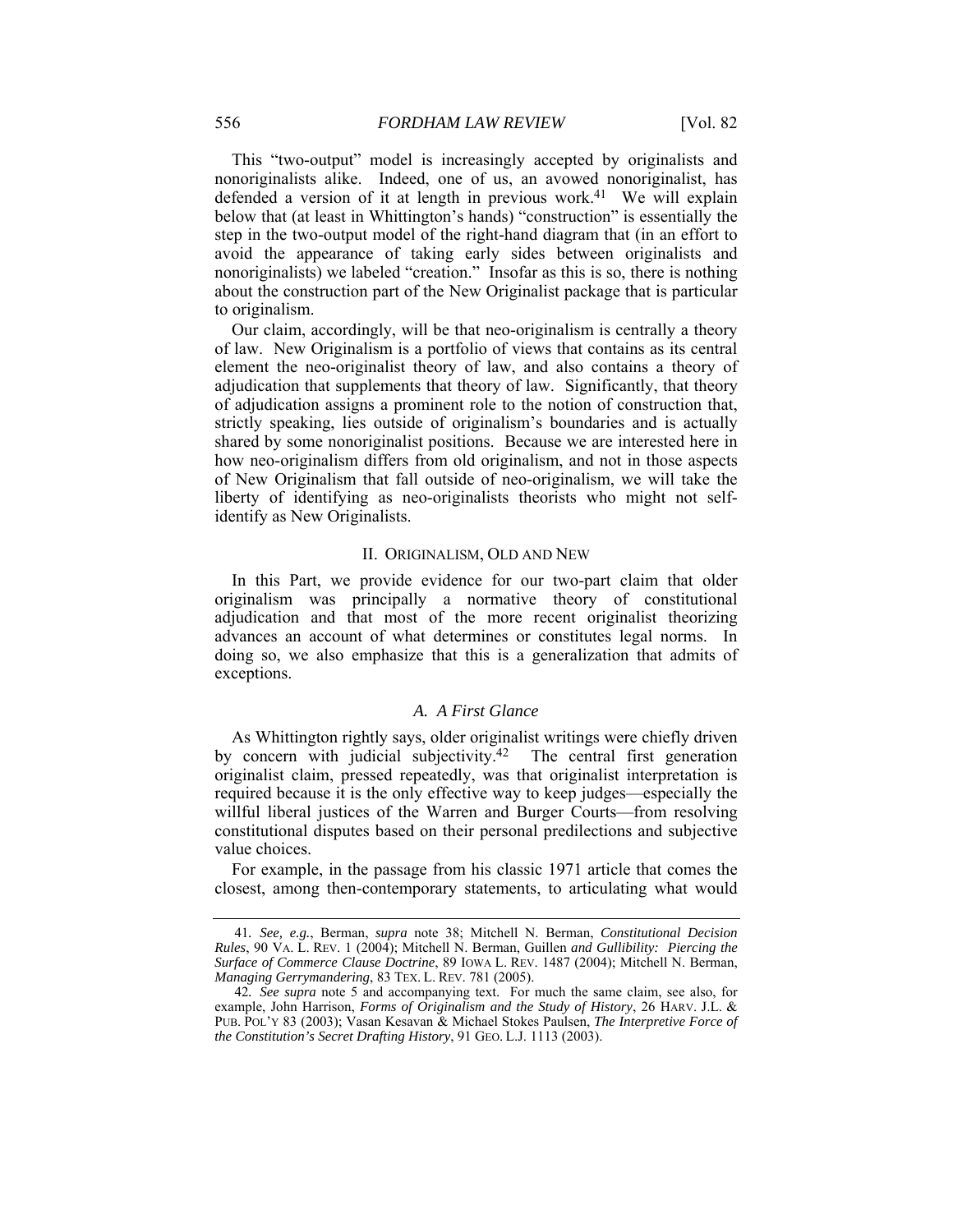This "two-output" model is increasingly accepted by originalists and nonoriginalists alike. Indeed, one of us, an avowed nonoriginalist, has defended a version of it at length in previous work.<sup>41</sup> We will explain below that (at least in Whittington's hands) "construction" is essentially the step in the two-output model of the right-hand diagram that (in an effort to avoid the appearance of taking early sides between originalists and nonoriginalists) we labeled "creation." Insofar as this is so, there is nothing about the construction part of the New Originalist package that is particular to originalism.

Our claim, accordingly, will be that neo-originalism is centrally a theory of law. New Originalism is a portfolio of views that contains as its central element the neo-originalist theory of law, and also contains a theory of adjudication that supplements that theory of law. Significantly, that theory of adjudication assigns a prominent role to the notion of construction that, strictly speaking, lies outside of originalism's boundaries and is actually shared by some nonoriginalist positions. Because we are interested here in how neo-originalism differs from old originalism, and not in those aspects of New Originalism that fall outside of neo-originalism, we will take the liberty of identifying as neo-originalists theorists who might not selfidentify as New Originalists.

#### II. ORIGINALISM, OLD AND NEW

In this Part, we provide evidence for our two-part claim that older originalism was principally a normative theory of constitutional adjudication and that most of the more recent originalist theorizing advances an account of what determines or constitutes legal norms. In doing so, we also emphasize that this is a generalization that admits of exceptions.

#### *A. A First Glance*

As Whittington rightly says, older originalist writings were chiefly driven by concern with judicial subjectivity.42 The central first generation originalist claim, pressed repeatedly, was that originalist interpretation is required because it is the only effective way to keep judges—especially the willful liberal justices of the Warren and Burger Courts—from resolving constitutional disputes based on their personal predilections and subjective value choices.

For example, in the passage from his classic 1971 article that comes the closest, among then-contemporary statements, to articulating what would

<sup>41</sup>*. See, e.g.*, Berman, *supra* note 38; Mitchell N. Berman, *Constitutional Decision Rules*, 90 VA. L. REV. 1 (2004); Mitchell N. Berman, Guillen *and Gullibility: Piercing the Surface of Commerce Clause Doctrine*, 89 IOWA L. REV. 1487 (2004); Mitchell N. Berman, *Managing Gerrymandering*, 83 TEX. L. REV. 781 (2005).

<sup>42</sup>*. See supra* note 5 and accompanying text. For much the same claim, see also, for example, John Harrison, *Forms of Originalism and the Study of History*, 26 HARV. J.L. & PUB. POL'Y 83 (2003); Vasan Kesavan & Michael Stokes Paulsen, *The Interpretive Force of the Constitution's Secret Drafting History*, 91 GEO. L.J. 1113 (2003).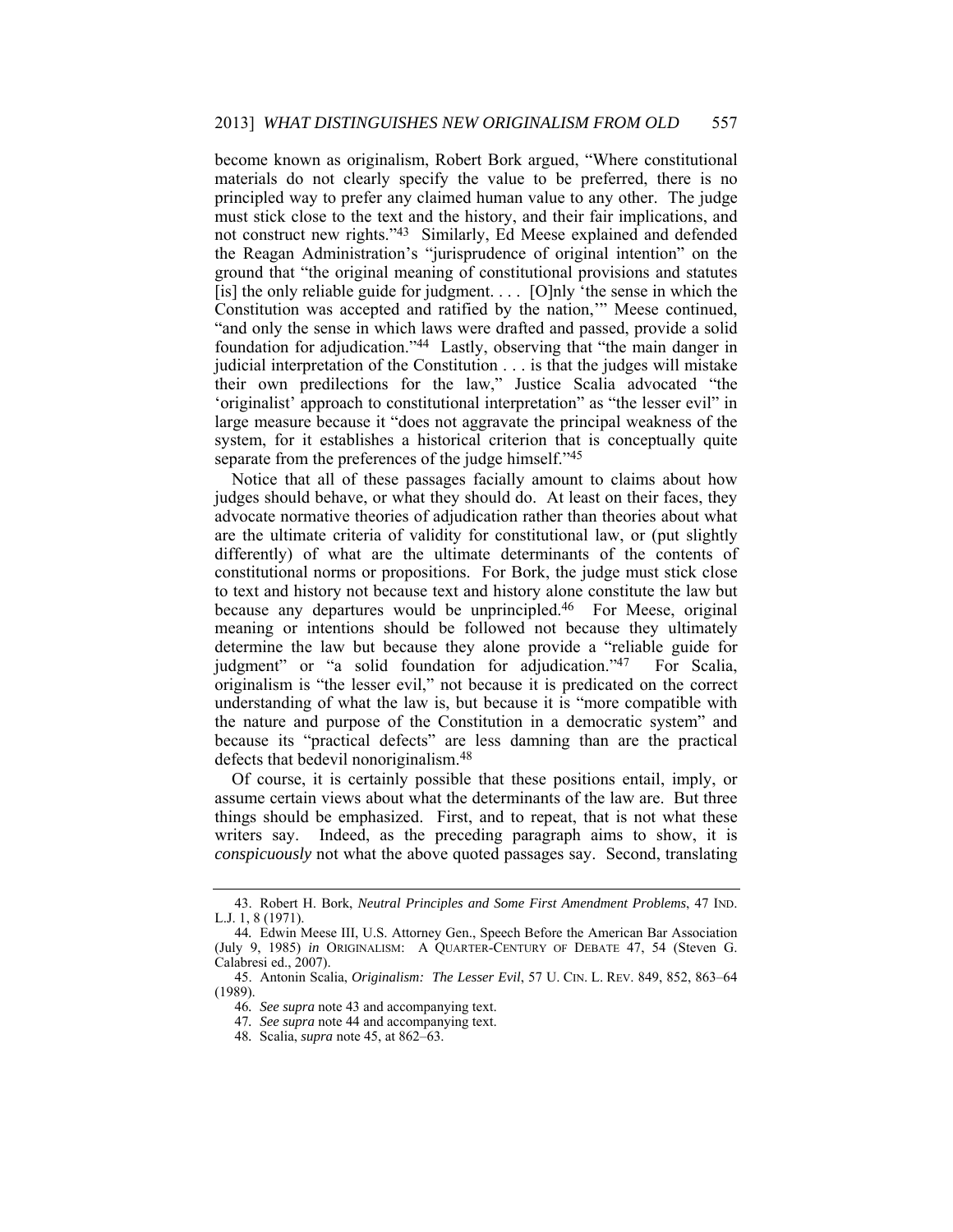become known as originalism, Robert Bork argued, "Where constitutional materials do not clearly specify the value to be preferred, there is no principled way to prefer any claimed human value to any other. The judge must stick close to the text and the history, and their fair implications, and not construct new rights."43 Similarly, Ed Meese explained and defended the Reagan Administration's "jurisprudence of original intention" on the ground that "the original meaning of constitutional provisions and statutes [is] the only reliable guide for judgment.  $\ldots$  [O]nly 'the sense in which the Constitution was accepted and ratified by the nation,'" Meese continued, "and only the sense in which laws were drafted and passed, provide a solid foundation for adjudication."44 Lastly, observing that "the main danger in judicial interpretation of the Constitution . . . is that the judges will mistake their own predilections for the law," Justice Scalia advocated "the 'originalist' approach to constitutional interpretation" as "the lesser evil" in large measure because it "does not aggravate the principal weakness of the system, for it establishes a historical criterion that is conceptually quite separate from the preferences of the judge himself."45

Notice that all of these passages facially amount to claims about how judges should behave, or what they should do. At least on their faces, they advocate normative theories of adjudication rather than theories about what are the ultimate criteria of validity for constitutional law, or (put slightly differently) of what are the ultimate determinants of the contents of constitutional norms or propositions. For Bork, the judge must stick close to text and history not because text and history alone constitute the law but because any departures would be unprincipled.46 For Meese, original meaning or intentions should be followed not because they ultimately determine the law but because they alone provide a "reliable guide for judgment" or "a solid foundation for adjudication."47 For Scalia, originalism is "the lesser evil," not because it is predicated on the correct understanding of what the law is, but because it is "more compatible with the nature and purpose of the Constitution in a democratic system" and because its "practical defects" are less damning than are the practical defects that bedevil nonoriginalism.48

Of course, it is certainly possible that these positions entail, imply, or assume certain views about what the determinants of the law are. But three things should be emphasized. First, and to repeat, that is not what these writers say. Indeed, as the preceding paragraph aims to show, it is *conspicuously* not what the above quoted passages say. Second, translating

 <sup>43.</sup> Robert H. Bork, *Neutral Principles and Some First Amendment Problems*, 47 IND. L.J. 1, 8 (1971).

<sup>44</sup>*.* Edwin Meese III, U.S. Attorney Gen., Speech Before the American Bar Association (July 9, 1985) *in* ORIGINALISM: A QUARTER-CENTURY OF DEBATE 47, 54 (Steven G. Calabresi ed., 2007).

 <sup>45.</sup> Antonin Scalia, *Originalism: The Lesser Evil*, 57 U. CIN. L. REV. 849, 852, 863–64 (1989).

<sup>46</sup>*. See supra* note 43 and accompanying text.

<sup>47</sup>*. See supra* note 44 and accompanying text.

<sup>48</sup>*.* Scalia, *supra* note 45, at 862–63.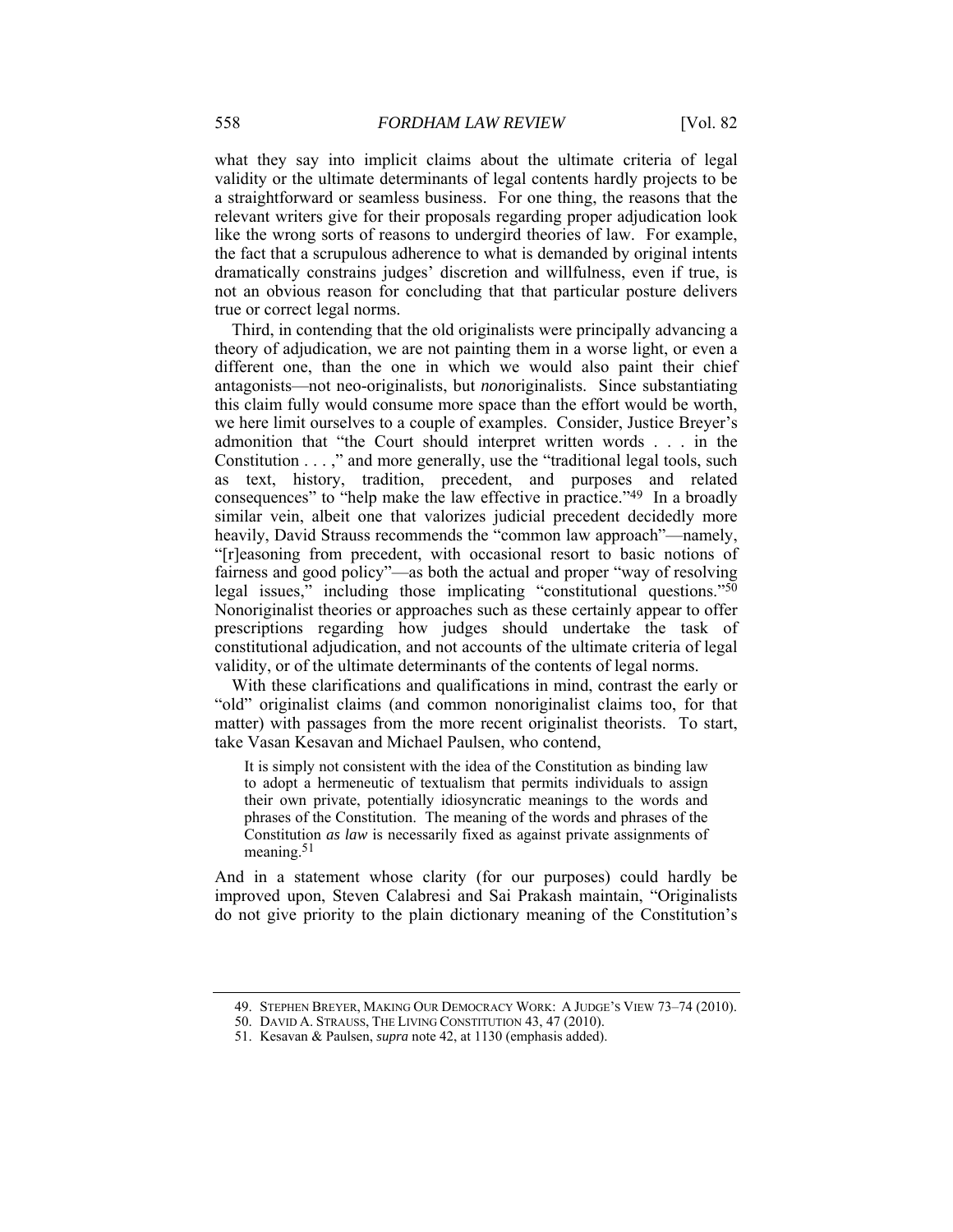what they say into implicit claims about the ultimate criteria of legal validity or the ultimate determinants of legal contents hardly projects to be a straightforward or seamless business. For one thing, the reasons that the relevant writers give for their proposals regarding proper adjudication look like the wrong sorts of reasons to undergird theories of law. For example, the fact that a scrupulous adherence to what is demanded by original intents dramatically constrains judges' discretion and willfulness, even if true, is not an obvious reason for concluding that that particular posture delivers true or correct legal norms.

Third, in contending that the old originalists were principally advancing a theory of adjudication, we are not painting them in a worse light, or even a different one, than the one in which we would also paint their chief antagonists—not neo-originalists, but *non*originalists. Since substantiating this claim fully would consume more space than the effort would be worth, we here limit ourselves to a couple of examples. Consider, Justice Breyer's admonition that "the Court should interpret written words . . . in the Constitution . . . ," and more generally, use the "traditional legal tools, such as text, history, tradition, precedent, and purposes and related consequences" to "help make the law effective in practice."49 In a broadly similar vein, albeit one that valorizes judicial precedent decidedly more heavily, David Strauss recommends the "common law approach"—namely, "[r]easoning from precedent, with occasional resort to basic notions of fairness and good policy"—as both the actual and proper "way of resolving legal issues," including those implicating "constitutional questions."50 Nonoriginalist theories or approaches such as these certainly appear to offer prescriptions regarding how judges should undertake the task of constitutional adjudication, and not accounts of the ultimate criteria of legal validity, or of the ultimate determinants of the contents of legal norms.

With these clarifications and qualifications in mind, contrast the early or "old" originalist claims (and common nonoriginalist claims too, for that matter) with passages from the more recent originalist theorists. To start, take Vasan Kesavan and Michael Paulsen, who contend,

It is simply not consistent with the idea of the Constitution as binding law to adopt a hermeneutic of textualism that permits individuals to assign their own private, potentially idiosyncratic meanings to the words and phrases of the Constitution. The meaning of the words and phrases of the Constitution *as law* is necessarily fixed as against private assignments of meaning.<sup>51</sup>

And in a statement whose clarity (for our purposes) could hardly be improved upon, Steven Calabresi and Sai Prakash maintain, "Originalists do not give priority to the plain dictionary meaning of the Constitution's

 <sup>49.</sup> STEPHEN BREYER, MAKING OUR DEMOCRACY WORK: A JUDGE'S VIEW 73–74 (2010).

 <sup>50.</sup> DAVID A. STRAUSS, THE LIVING CONSTITUTION 43, 47 (2010).

 <sup>51.</sup> Kesavan & Paulsen, *supra* note 42, at 1130 (emphasis added).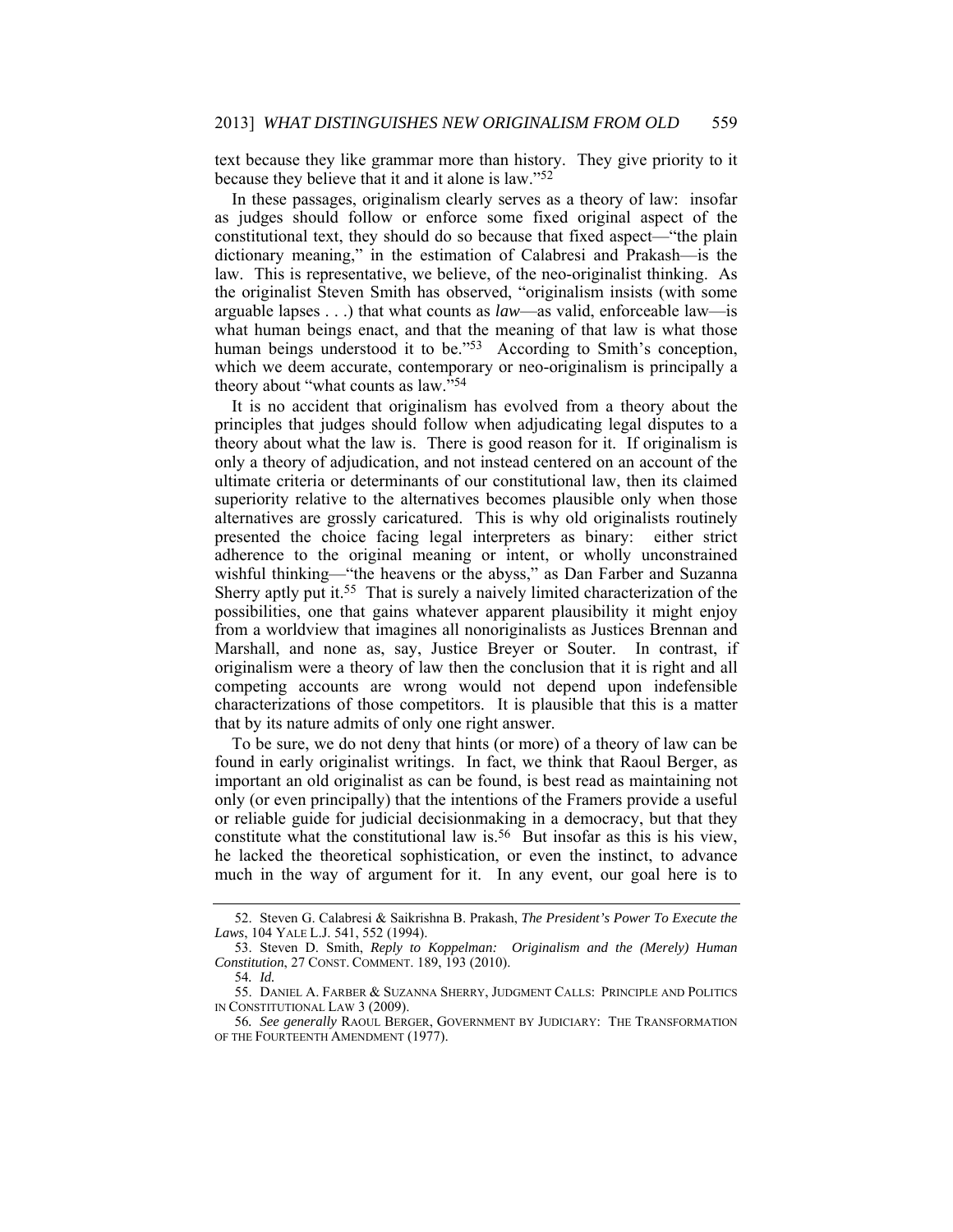text because they like grammar more than history. They give priority to it because they believe that it and it alone is law."52

In these passages, originalism clearly serves as a theory of law: insofar as judges should follow or enforce some fixed original aspect of the constitutional text, they should do so because that fixed aspect—"the plain dictionary meaning," in the estimation of Calabresi and Prakash—is the law. This is representative, we believe, of the neo-originalist thinking. As the originalist Steven Smith has observed, "originalism insists (with some arguable lapses . . .) that what counts as *law*—as valid, enforceable law—is what human beings enact, and that the meaning of that law is what those human beings understood it to be."<sup>53</sup> According to Smith's conception, which we deem accurate, contemporary or neo-originalism is principally a theory about "what counts as law."54

It is no accident that originalism has evolved from a theory about the principles that judges should follow when adjudicating legal disputes to a theory about what the law is. There is good reason for it. If originalism is only a theory of adjudication, and not instead centered on an account of the ultimate criteria or determinants of our constitutional law, then its claimed superiority relative to the alternatives becomes plausible only when those alternatives are grossly caricatured. This is why old originalists routinely presented the choice facing legal interpreters as binary: either strict adherence to the original meaning or intent, or wholly unconstrained wishful thinking—"the heavens or the abyss," as Dan Farber and Suzanna Sherry aptly put it.55 That is surely a naively limited characterization of the possibilities, one that gains whatever apparent plausibility it might enjoy from a worldview that imagines all nonoriginalists as Justices Brennan and Marshall, and none as, say, Justice Breyer or Souter. In contrast, if originalism were a theory of law then the conclusion that it is right and all competing accounts are wrong would not depend upon indefensible characterizations of those competitors. It is plausible that this is a matter that by its nature admits of only one right answer.

To be sure, we do not deny that hints (or more) of a theory of law can be found in early originalist writings. In fact, we think that Raoul Berger, as important an old originalist as can be found, is best read as maintaining not only (or even principally) that the intentions of the Framers provide a useful or reliable guide for judicial decisionmaking in a democracy, but that they constitute what the constitutional law is.56 But insofar as this is his view, he lacked the theoretical sophistication, or even the instinct, to advance much in the way of argument for it. In any event, our goal here is to

 <sup>52.</sup> Steven G. Calabresi & Saikrishna B. Prakash, *The President's Power To Execute the Laws*, 104 YALE L.J. 541, 552 (1994).

 <sup>53.</sup> Steven D. Smith, *Reply to Koppelman: Originalism and the (Merely) Human Constitution*, 27 CONST. COMMENT. 189, 193 (2010).

<sup>54</sup>*. Id.*

 <sup>55.</sup> DANIEL A. FARBER & SUZANNA SHERRY, JUDGMENT CALLS: PRINCIPLE AND POLITICS IN CONSTITUTIONAL LAW 3 (2009).

<sup>56</sup>*. See generally* RAOUL BERGER, GOVERNMENT BY JUDICIARY: THE TRANSFORMATION OF THE FOURTEENTH AMENDMENT (1977).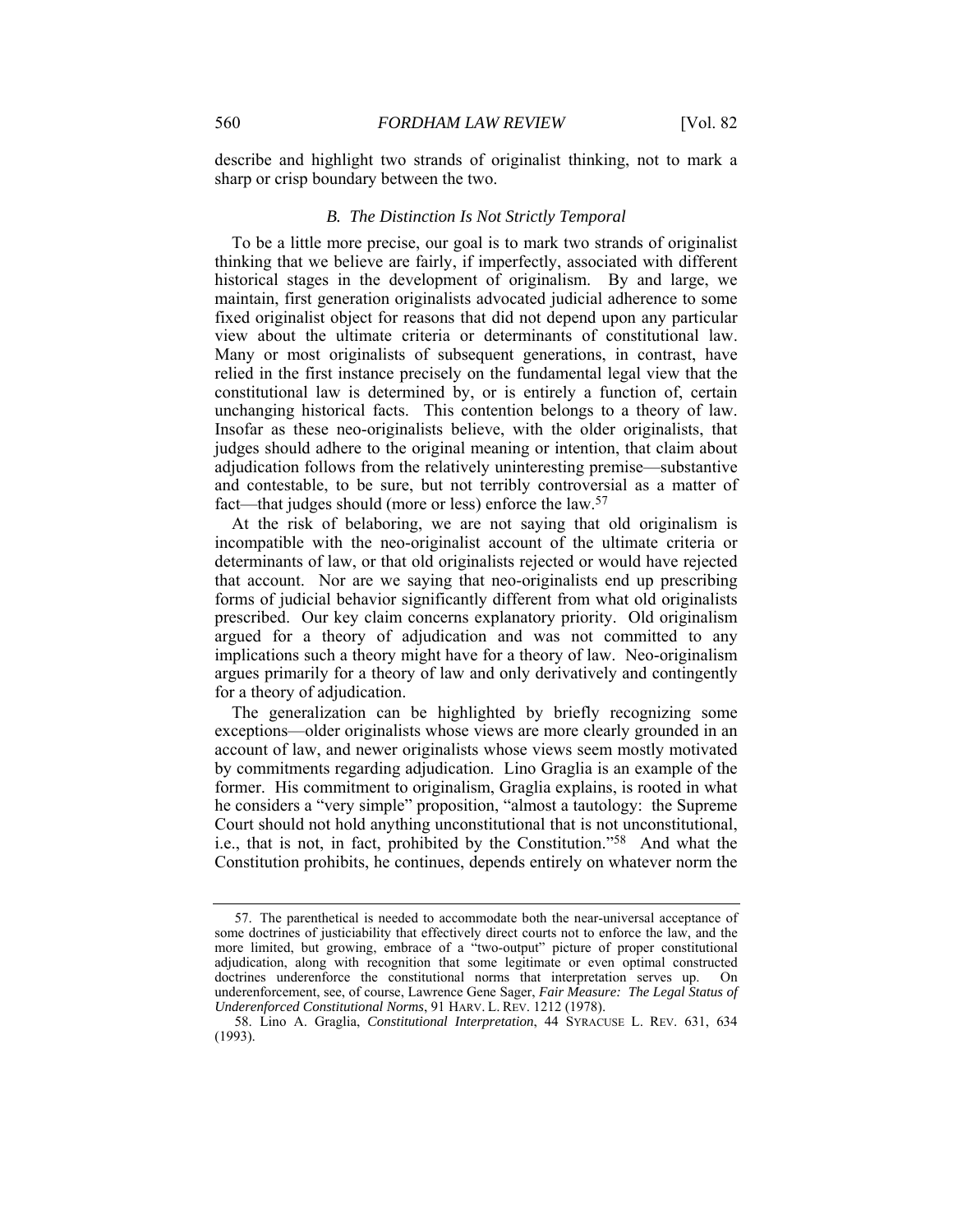describe and highlight two strands of originalist thinking, not to mark a sharp or crisp boundary between the two.

#### *B. The Distinction Is Not Strictly Temporal*

To be a little more precise, our goal is to mark two strands of originalist thinking that we believe are fairly, if imperfectly, associated with different historical stages in the development of originalism. By and large, we maintain, first generation originalists advocated judicial adherence to some fixed originalist object for reasons that did not depend upon any particular view about the ultimate criteria or determinants of constitutional law. Many or most originalists of subsequent generations, in contrast, have relied in the first instance precisely on the fundamental legal view that the constitutional law is determined by, or is entirely a function of, certain unchanging historical facts. This contention belongs to a theory of law. Insofar as these neo-originalists believe, with the older originalists, that judges should adhere to the original meaning or intention, that claim about adjudication follows from the relatively uninteresting premise—substantive and contestable, to be sure, but not terribly controversial as a matter of fact—that judges should (more or less) enforce the law.57

At the risk of belaboring, we are not saying that old originalism is incompatible with the neo-originalist account of the ultimate criteria or determinants of law, or that old originalists rejected or would have rejected that account. Nor are we saying that neo-originalists end up prescribing forms of judicial behavior significantly different from what old originalists prescribed. Our key claim concerns explanatory priority. Old originalism argued for a theory of adjudication and was not committed to any implications such a theory might have for a theory of law. Neo-originalism argues primarily for a theory of law and only derivatively and contingently for a theory of adjudication.

The generalization can be highlighted by briefly recognizing some exceptions—older originalists whose views are more clearly grounded in an account of law, and newer originalists whose views seem mostly motivated by commitments regarding adjudication. Lino Graglia is an example of the former. His commitment to originalism, Graglia explains, is rooted in what he considers a "very simple" proposition, "almost a tautology: the Supreme Court should not hold anything unconstitutional that is not unconstitutional, i.e., that is not, in fact, prohibited by the Constitution."58 And what the Constitution prohibits, he continues, depends entirely on whatever norm the

 <sup>57.</sup> The parenthetical is needed to accommodate both the near-universal acceptance of some doctrines of justiciability that effectively direct courts not to enforce the law, and the more limited, but growing, embrace of a "two-output" picture of proper constitutional adjudication, along with recognition that some legitimate or even optimal constructed doctrines underenforce the constitutional norms that interpretation serves up. On underenforcement, see, of course, Lawrence Gene Sager, *Fair Measure: The Legal Status of Underenforced Constitutional Norms*, 91 HARV. L. REV. 1212 (1978).

 <sup>58.</sup> Lino A. Graglia, *Constitutional Interpretation*, 44 SYRACUSE L. REV. 631, 634 (1993).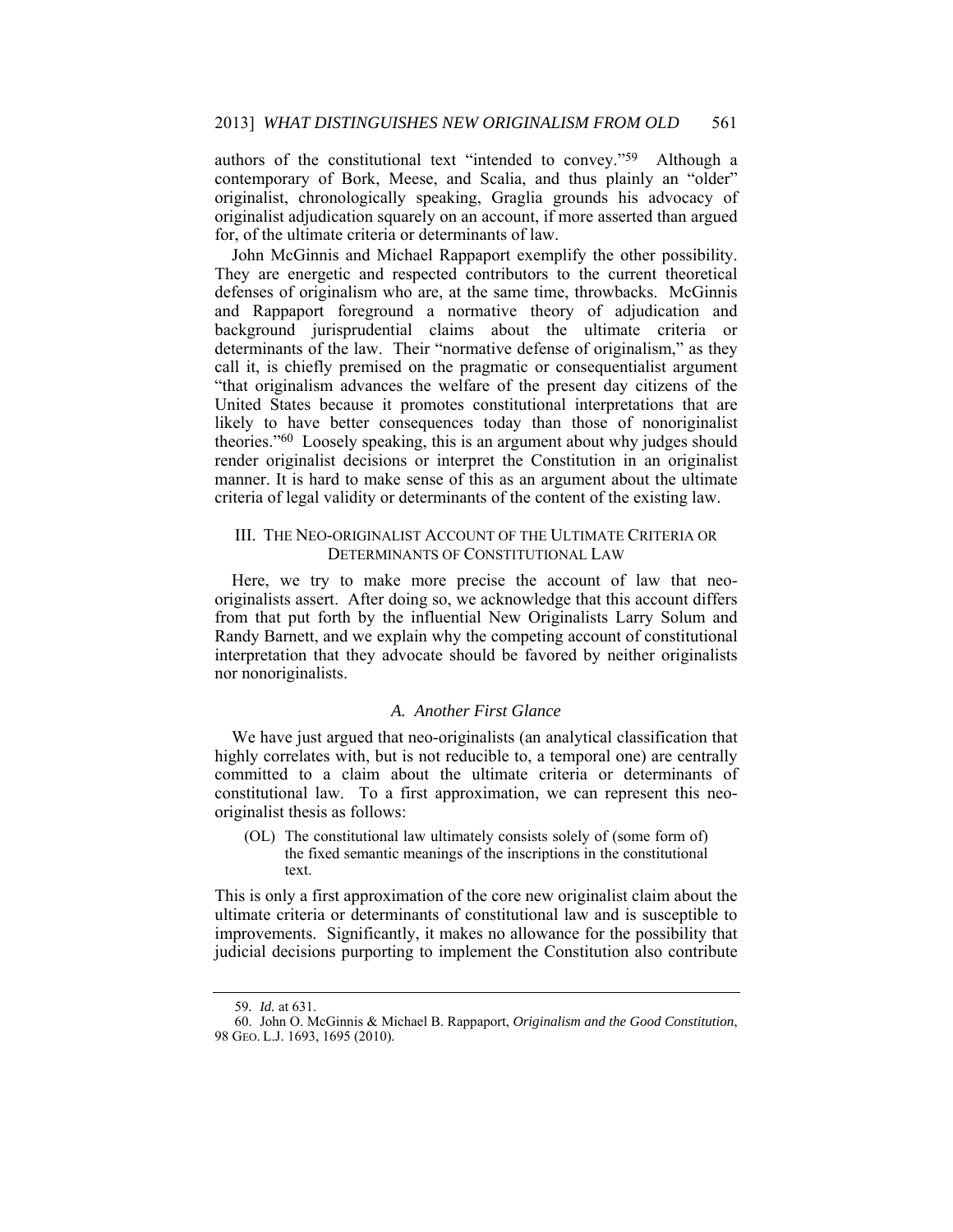authors of the constitutional text "intended to convey."59 Although a contemporary of Bork, Meese, and Scalia, and thus plainly an "older" originalist, chronologically speaking, Graglia grounds his advocacy of originalist adjudication squarely on an account, if more asserted than argued for, of the ultimate criteria or determinants of law.

John McGinnis and Michael Rappaport exemplify the other possibility. They are energetic and respected contributors to the current theoretical defenses of originalism who are, at the same time, throwbacks. McGinnis and Rappaport foreground a normative theory of adjudication and background jurisprudential claims about the ultimate criteria or determinants of the law. Their "normative defense of originalism," as they call it, is chiefly premised on the pragmatic or consequentialist argument "that originalism advances the welfare of the present day citizens of the United States because it promotes constitutional interpretations that are likely to have better consequences today than those of nonoriginalist theories."60 Loosely speaking, this is an argument about why judges should render originalist decisions or interpret the Constitution in an originalist manner. It is hard to make sense of this as an argument about the ultimate criteria of legal validity or determinants of the content of the existing law.

#### III. THE NEO-ORIGINALIST ACCOUNT OF THE ULTIMATE CRITERIA OR DETERMINANTS OF CONSTITUTIONAL LAW

Here, we try to make more precise the account of law that neooriginalists assert. After doing so, we acknowledge that this account differs from that put forth by the influential New Originalists Larry Solum and Randy Barnett, and we explain why the competing account of constitutional interpretation that they advocate should be favored by neither originalists nor nonoriginalists.

#### *A. Another First Glance*

We have just argued that neo-originalists (an analytical classification that highly correlates with, but is not reducible to, a temporal one) are centrally committed to a claim about the ultimate criteria or determinants of constitutional law. To a first approximation, we can represent this neooriginalist thesis as follows:

(OL) The constitutional law ultimately consists solely of (some form of) the fixed semantic meanings of the inscriptions in the constitutional text.

This is only a first approximation of the core new originalist claim about the ultimate criteria or determinants of constitutional law and is susceptible to improvements. Significantly, it makes no allowance for the possibility that judicial decisions purporting to implement the Constitution also contribute

<sup>59</sup>*. Id.* at 631.

 <sup>60.</sup> John O. McGinnis & Michael B. Rappaport, *Originalism and the Good Constitution*, 98 GEO. L.J. 1693, 1695 (2010).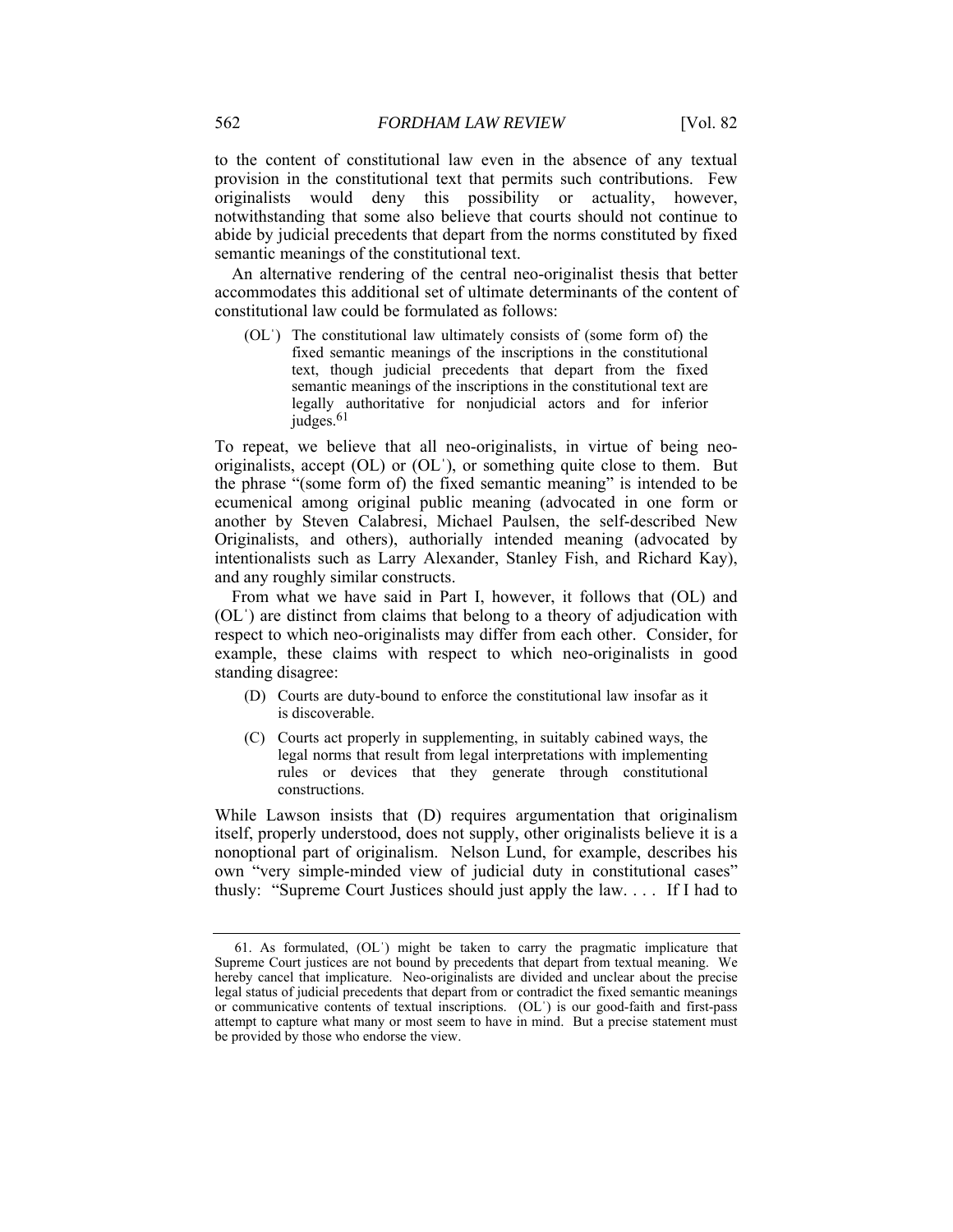to the content of constitutional law even in the absence of any textual provision in the constitutional text that permits such contributions. Few originalists would deny this possibility or actuality, however, notwithstanding that some also believe that courts should not continue to abide by judicial precedents that depart from the norms constituted by fixed semantic meanings of the constitutional text.

An alternative rendering of the central neo-originalist thesis that better accommodates this additional set of ultimate determinants of the content of constitutional law could be formulated as follows:

(OLˈ) The constitutional law ultimately consists of (some form of) the fixed semantic meanings of the inscriptions in the constitutional text, though judicial precedents that depart from the fixed semantic meanings of the inscriptions in the constitutional text are legally authoritative for nonjudicial actors and for inferior judges.<sup>61</sup>

To repeat, we believe that all neo-originalists, in virtue of being neooriginalists, accept (OL) or (OLˈ), or something quite close to them. But the phrase "(some form of) the fixed semantic meaning" is intended to be ecumenical among original public meaning (advocated in one form or another by Steven Calabresi, Michael Paulsen, the self-described New Originalists, and others), authorially intended meaning (advocated by intentionalists such as Larry Alexander, Stanley Fish, and Richard Kay), and any roughly similar constructs.

From what we have said in Part I, however, it follows that (OL) and (OLˈ) are distinct from claims that belong to a theory of adjudication with respect to which neo-originalists may differ from each other. Consider, for example, these claims with respect to which neo-originalists in good standing disagree:

- (D) Courts are duty-bound to enforce the constitutional law insofar as it is discoverable.
- (C) Courts act properly in supplementing, in suitably cabined ways, the legal norms that result from legal interpretations with implementing rules or devices that they generate through constitutional constructions.

While Lawson insists that (D) requires argumentation that originalism itself, properly understood, does not supply, other originalists believe it is a nonoptional part of originalism. Nelson Lund, for example, describes his own "very simple-minded view of judicial duty in constitutional cases" thusly: "Supreme Court Justices should just apply the law. . . . If I had to

 <sup>61.</sup> As formulated, (OLˈ) might be taken to carry the pragmatic implicature that Supreme Court justices are not bound by precedents that depart from textual meaning. We hereby cancel that implicature. Neo-originalists are divided and unclear about the precise legal status of judicial precedents that depart from or contradict the fixed semantic meanings or communicative contents of textual inscriptions. (OLˈ) is our good-faith and first-pass attempt to capture what many or most seem to have in mind. But a precise statement must be provided by those who endorse the view.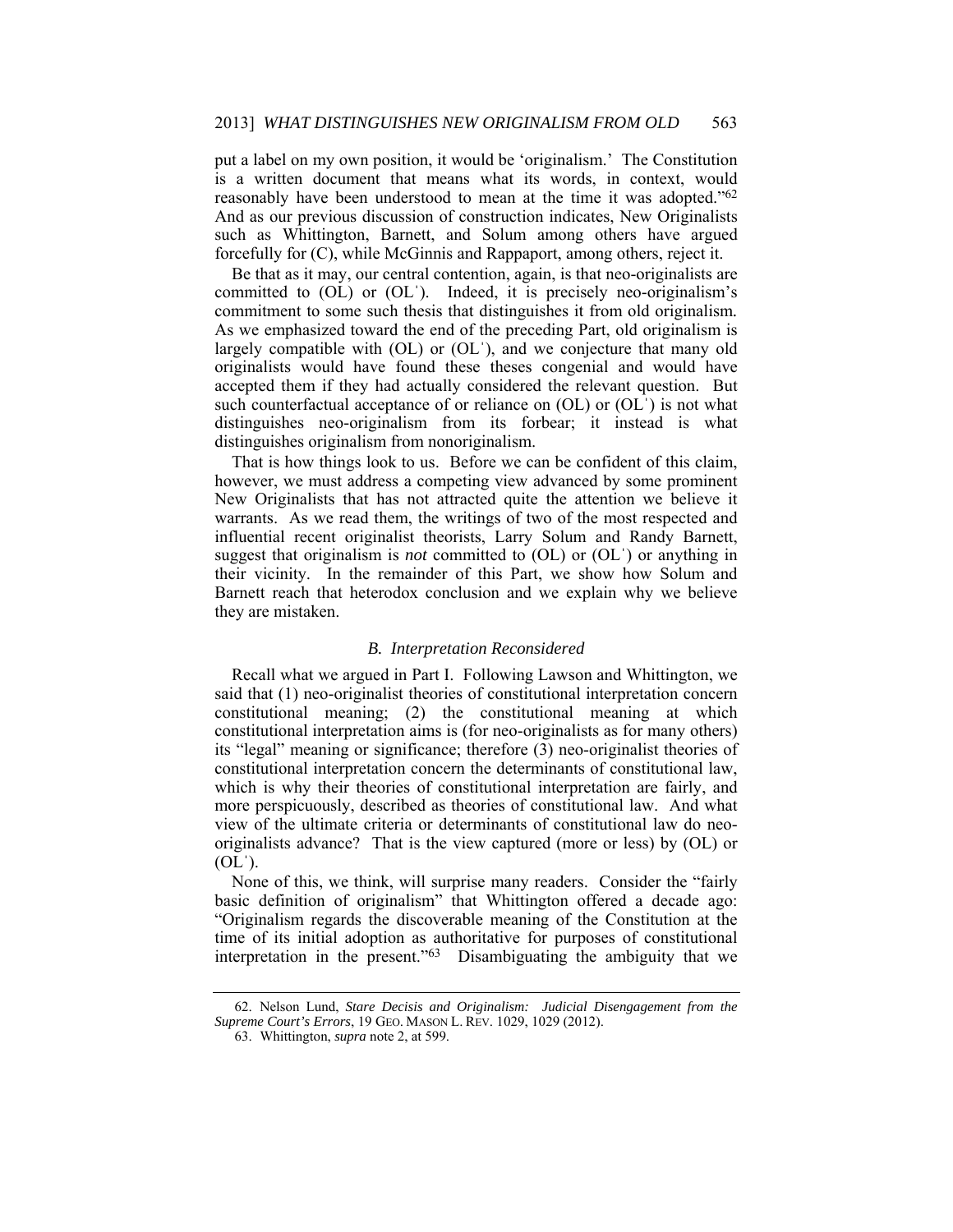put a label on my own position, it would be 'originalism.' The Constitution is a written document that means what its words, in context, would reasonably have been understood to mean at the time it was adopted."62 And as our previous discussion of construction indicates, New Originalists such as Whittington, Barnett, and Solum among others have argued forcefully for (C), while McGinnis and Rappaport, among others, reject it.

Be that as it may, our central contention, again, is that neo-originalists are committed to (OL) or (OLˈ). Indeed, it is precisely neo-originalism's commitment to some such thesis that distinguishes it from old originalism*.* As we emphasized toward the end of the preceding Part, old originalism is largely compatible with (OL) or (OL), and we conjecture that many old originalists would have found these theses congenial and would have accepted them if they had actually considered the relevant question. But such counterfactual acceptance of or reliance on  $(OL)$  or  $(OL)$  is not what distinguishes neo-originalism from its forbear; it instead is what distinguishes originalism from nonoriginalism.

That is how things look to us. Before we can be confident of this claim, however, we must address a competing view advanced by some prominent New Originalists that has not attracted quite the attention we believe it warrants. As we read them, the writings of two of the most respected and influential recent originalist theorists, Larry Solum and Randy Barnett, suggest that originalism is *not* committed to (OL) or (OLˈ) or anything in their vicinity. In the remainder of this Part, we show how Solum and Barnett reach that heterodox conclusion and we explain why we believe they are mistaken.

#### *B. Interpretation Reconsidered*

Recall what we argued in Part I. Following Lawson and Whittington, we said that (1) neo-originalist theories of constitutional interpretation concern constitutional meaning; (2) the constitutional meaning at which constitutional interpretation aims is (for neo-originalists as for many others) its "legal" meaning or significance; therefore (3) neo-originalist theories of constitutional interpretation concern the determinants of constitutional law, which is why their theories of constitutional interpretation are fairly, and more perspicuously, described as theories of constitutional law. And what view of the ultimate criteria or determinants of constitutional law do neooriginalists advance? That is the view captured (more or less) by (OL) or  $(OL^{\prime})$ .

None of this, we think, will surprise many readers. Consider the "fairly basic definition of originalism" that Whittington offered a decade ago: "Originalism regards the discoverable meaning of the Constitution at the time of its initial adoption as authoritative for purposes of constitutional interpretation in the present."63 Disambiguating the ambiguity that we

 <sup>62.</sup> Nelson Lund, *Stare Decisis and Originalism: Judicial Disengagement from the Supreme Court's Errors*, 19 GEO. MASON L. REV. 1029, 1029 (2012).

 <sup>63.</sup> Whittington, *supra* note 2, at 599.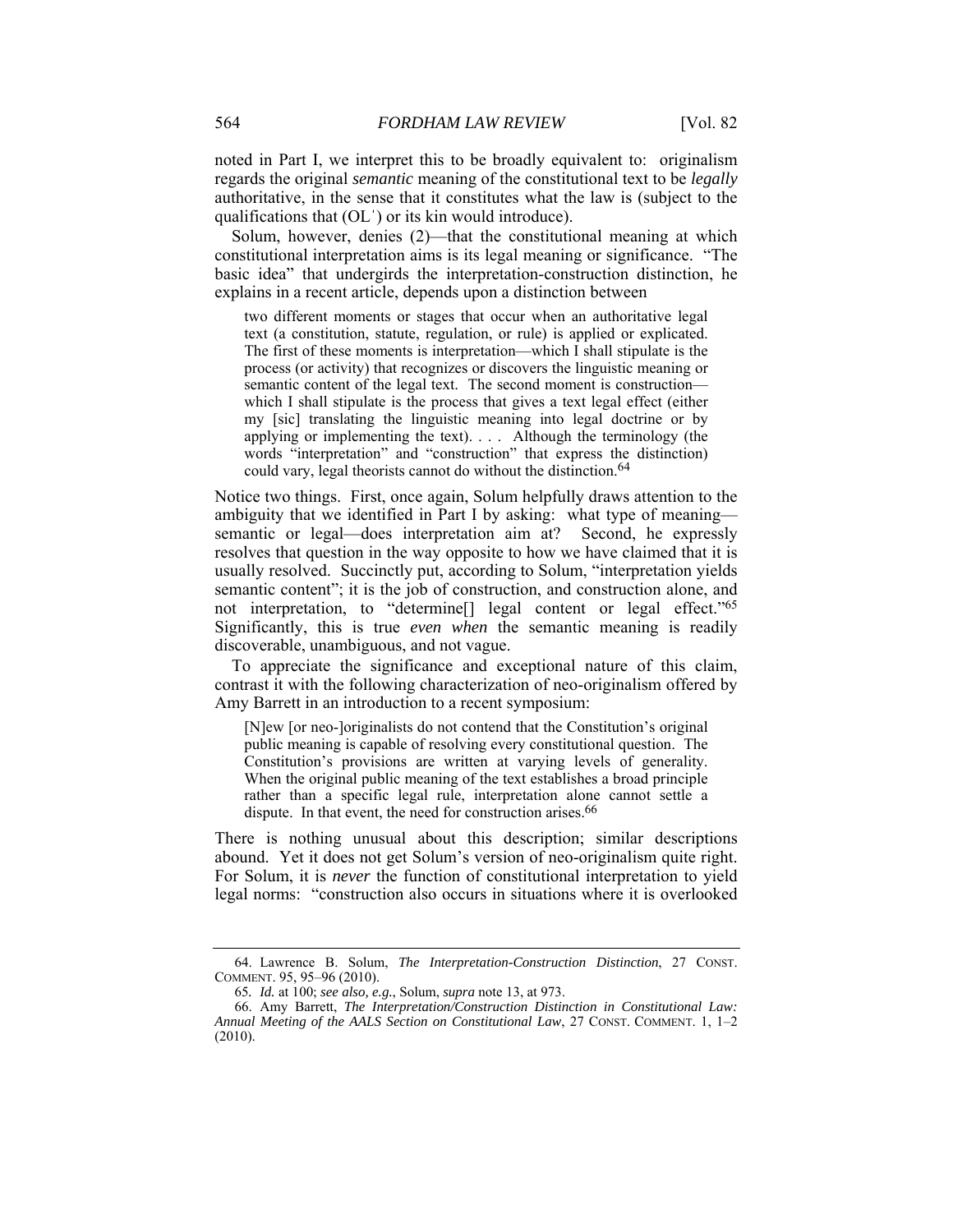noted in Part I, we interpret this to be broadly equivalent to: originalism regards the original *semantic* meaning of the constitutional text to be *legally* authoritative, in the sense that it constitutes what the law is (subject to the qualifications that (OLˈ) or its kin would introduce).

Solum, however, denies (2)—that the constitutional meaning at which constitutional interpretation aims is its legal meaning or significance. "The basic idea" that undergirds the interpretation-construction distinction, he explains in a recent article, depends upon a distinction between

two different moments or stages that occur when an authoritative legal text (a constitution, statute, regulation, or rule) is applied or explicated. The first of these moments is interpretation—which I shall stipulate is the process (or activity) that recognizes or discovers the linguistic meaning or semantic content of the legal text. The second moment is construction which I shall stipulate is the process that gives a text legal effect (either my [sic] translating the linguistic meaning into legal doctrine or by applying or implementing the text). . . . Although the terminology (the words "interpretation" and "construction" that express the distinction) could vary, legal theorists cannot do without the distinction.<sup>64</sup>

Notice two things. First, once again, Solum helpfully draws attention to the ambiguity that we identified in Part I by asking: what type of meaning semantic or legal—does interpretation aim at? Second, he expressly resolves that question in the way opposite to how we have claimed that it is usually resolved. Succinctly put, according to Solum, "interpretation yields semantic content"; it is the job of construction, and construction alone, and not interpretation, to "determine[] legal content or legal effect."65 Significantly, this is true *even when* the semantic meaning is readily discoverable, unambiguous, and not vague.

To appreciate the significance and exceptional nature of this claim, contrast it with the following characterization of neo-originalism offered by Amy Barrett in an introduction to a recent symposium:

[N]ew [or neo-]originalists do not contend that the Constitution's original public meaning is capable of resolving every constitutional question. The Constitution's provisions are written at varying levels of generality. When the original public meaning of the text establishes a broad principle rather than a specific legal rule, interpretation alone cannot settle a dispute. In that event, the need for construction arises.<sup>66</sup>

There is nothing unusual about this description; similar descriptions abound. Yet it does not get Solum's version of neo-originalism quite right. For Solum, it is *never* the function of constitutional interpretation to yield legal norms: "construction also occurs in situations where it is overlooked

 <sup>64.</sup> Lawrence B. Solum, *The Interpretation-Construction Distinction*, 27 CONST. COMMENT. 95, 95–96 (2010).

<sup>65</sup>*. Id.* at 100; *see also, e.g.*, Solum, *supra* note 13, at 973.

 <sup>66.</sup> Amy Barrett, *The Interpretation/Construction Distinction in Constitutional Law: Annual Meeting of the AALS Section on Constitutional Law*, 27 CONST. COMMENT. 1, 1–2 (2010).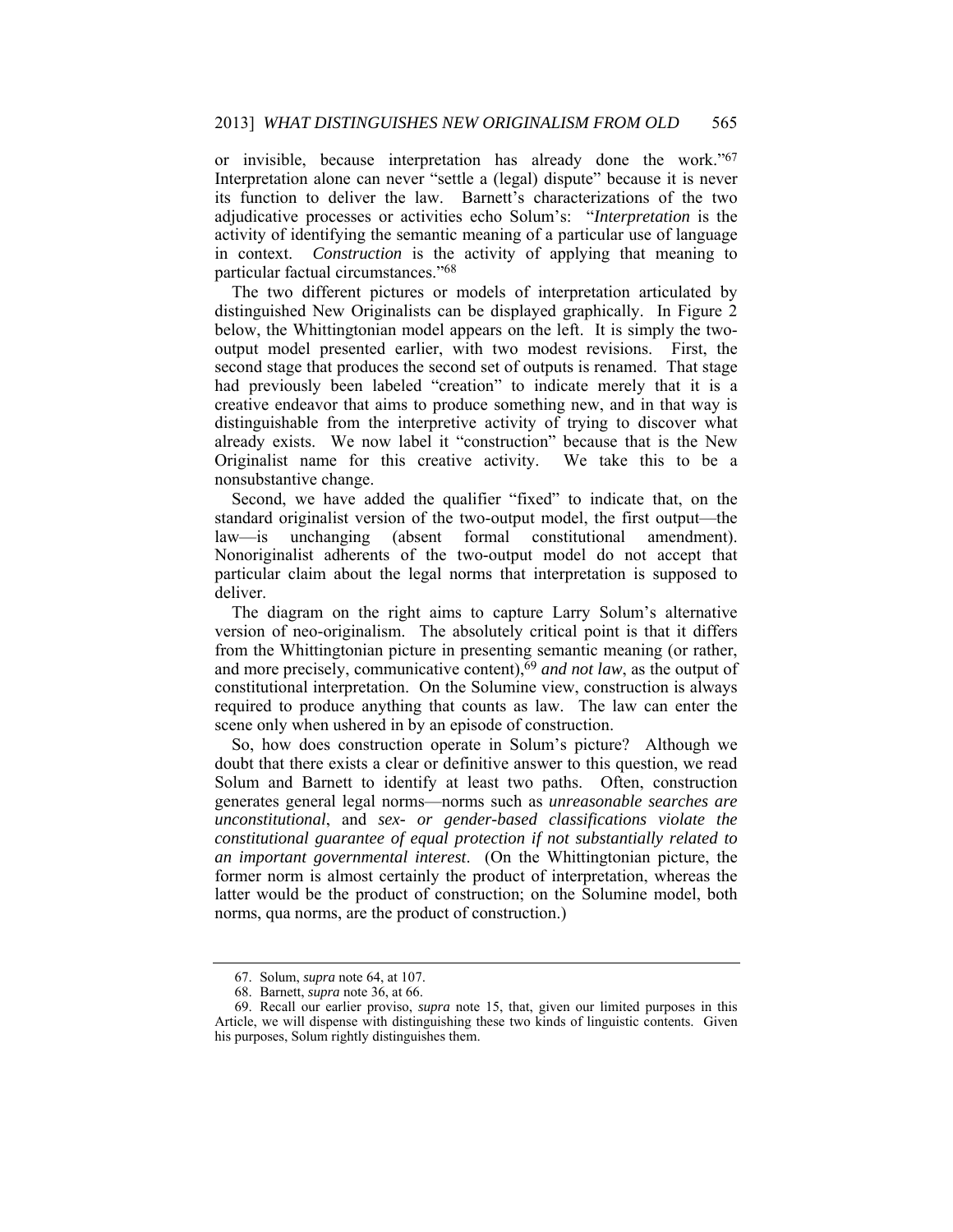or invisible, because interpretation has already done the work."67 Interpretation alone can never "settle a (legal) dispute" because it is never its function to deliver the law. Barnett's characterizations of the two adjudicative processes or activities echo Solum's: "*Interpretation* is the activity of identifying the semantic meaning of a particular use of language in context. *Construction* is the activity of applying that meaning to particular factual circumstances."68

The two different pictures or models of interpretation articulated by distinguished New Originalists can be displayed graphically. In Figure 2 below, the Whittingtonian model appears on the left. It is simply the twooutput model presented earlier, with two modest revisions. First, the second stage that produces the second set of outputs is renamed. That stage had previously been labeled "creation" to indicate merely that it is a creative endeavor that aims to produce something new, and in that way is distinguishable from the interpretive activity of trying to discover what already exists. We now label it "construction" because that is the New Originalist name for this creative activity. We take this to be a nonsubstantive change.

Second, we have added the qualifier "fixed" to indicate that, on the standard originalist version of the two-output model, the first output—the law—is unchanging (absent formal constitutional amendment). Nonoriginalist adherents of the two-output model do not accept that particular claim about the legal norms that interpretation is supposed to deliver.

The diagram on the right aims to capture Larry Solum's alternative version of neo-originalism. The absolutely critical point is that it differs from the Whittingtonian picture in presenting semantic meaning (or rather, and more precisely, communicative content),69 *and not law*, as the output of constitutional interpretation. On the Solumine view, construction is always required to produce anything that counts as law. The law can enter the scene only when ushered in by an episode of construction.

So, how does construction operate in Solum's picture? Although we doubt that there exists a clear or definitive answer to this question, we read Solum and Barnett to identify at least two paths. Often, construction generates general legal norms—norms such as *unreasonable searches are unconstitutional*, and *sex- or gender-based classifications violate the constitutional guarantee of equal protection if not substantially related to an important governmental interest*. (On the Whittingtonian picture, the former norm is almost certainly the product of interpretation, whereas the latter would be the product of construction; on the Solumine model, both norms, qua norms, are the product of construction.)

 <sup>67.</sup> Solum, *supra* note 64, at 107.

 <sup>68.</sup> Barnett, *supra* note 36, at 66.

 <sup>69.</sup> Recall our earlier proviso, *supra* note 15, that, given our limited purposes in this Article, we will dispense with distinguishing these two kinds of linguistic contents. Given his purposes, Solum rightly distinguishes them.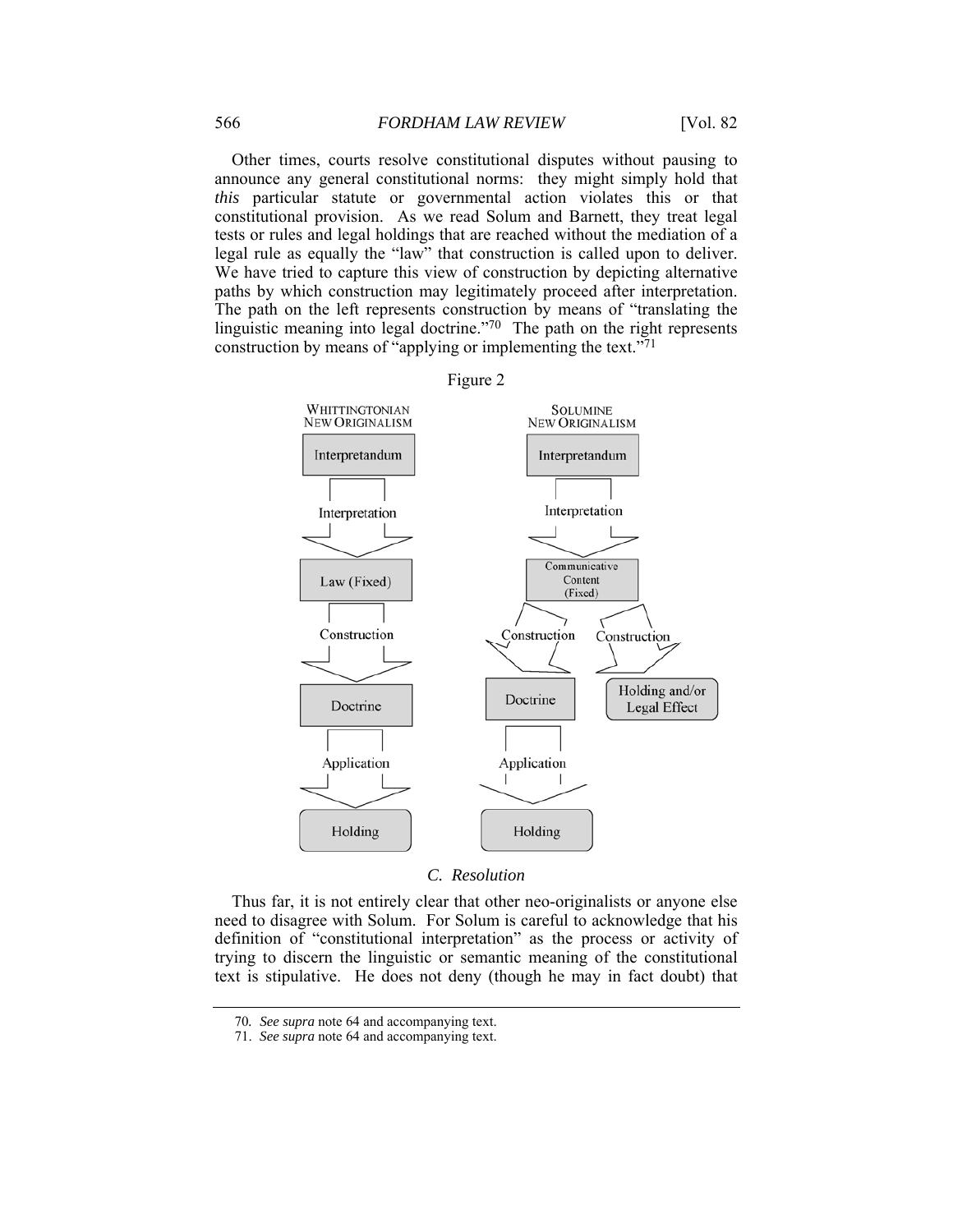Other times, courts resolve constitutional disputes without pausing to announce any general constitutional norms: they might simply hold that *this* particular statute or governmental action violates this or that constitutional provision. As we read Solum and Barnett, they treat legal tests or rules and legal holdings that are reached without the mediation of a legal rule as equally the "law" that construction is called upon to deliver. We have tried to capture this view of construction by depicting alternative paths by which construction may legitimately proceed after interpretation. The path on the left represents construction by means of "translating the linguistic meaning into legal doctrine."70 The path on the right represents construction by means of "applying or implementing the text."71



#### *C. Resolution*

Thus far, it is not entirely clear that other neo-originalists or anyone else need to disagree with Solum. For Solum is careful to acknowledge that his definition of "constitutional interpretation" as the process or activity of trying to discern the linguistic or semantic meaning of the constitutional text is stipulative. He does not deny (though he may in fact doubt) that

<sup>70</sup>*. See supra* note 64 and accompanying text.

 <sup>71.</sup> *See supra* note 64 and accompanying text.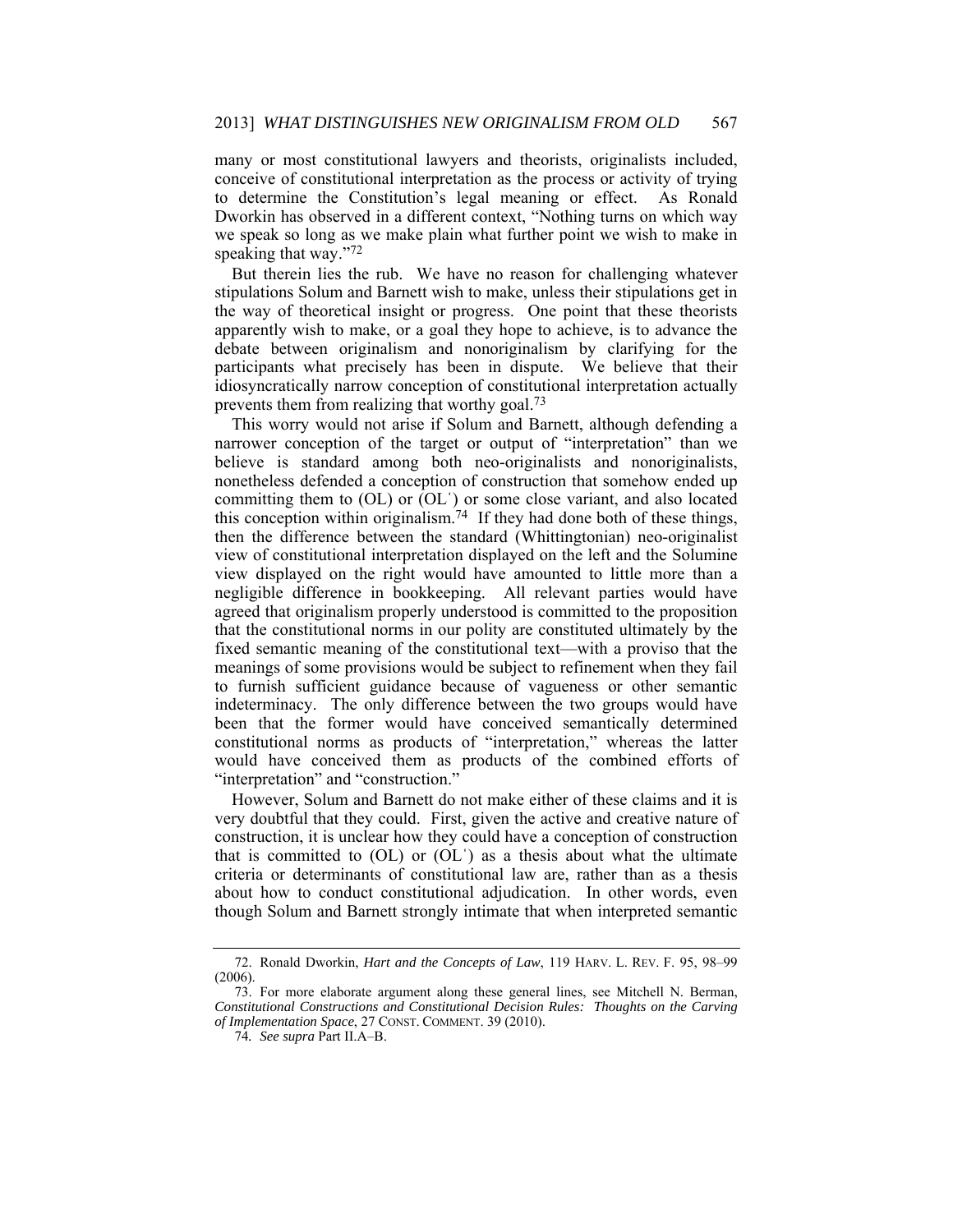many or most constitutional lawyers and theorists, originalists included, conceive of constitutional interpretation as the process or activity of trying to determine the Constitution's legal meaning or effect. As Ronald Dworkin has observed in a different context, "Nothing turns on which way we speak so long as we make plain what further point we wish to make in speaking that way."72

But therein lies the rub. We have no reason for challenging whatever stipulations Solum and Barnett wish to make, unless their stipulations get in the way of theoretical insight or progress. One point that these theorists apparently wish to make, or a goal they hope to achieve, is to advance the debate between originalism and nonoriginalism by clarifying for the participants what precisely has been in dispute. We believe that their idiosyncratically narrow conception of constitutional interpretation actually prevents them from realizing that worthy goal.73

This worry would not arise if Solum and Barnett, although defending a narrower conception of the target or output of "interpretation" than we believe is standard among both neo-originalists and nonoriginalists, nonetheless defended a conception of construction that somehow ended up committing them to (OL) or (OLˈ) or some close variant, and also located this conception within originalism.<sup>74</sup> If they had done both of these things, then the difference between the standard (Whittingtonian) neo-originalist view of constitutional interpretation displayed on the left and the Solumine view displayed on the right would have amounted to little more than a negligible difference in bookkeeping. All relevant parties would have agreed that originalism properly understood is committed to the proposition that the constitutional norms in our polity are constituted ultimately by the fixed semantic meaning of the constitutional text—with a proviso that the meanings of some provisions would be subject to refinement when they fail to furnish sufficient guidance because of vagueness or other semantic indeterminacy. The only difference between the two groups would have been that the former would have conceived semantically determined constitutional norms as products of "interpretation," whereas the latter would have conceived them as products of the combined efforts of "interpretation" and "construction."

However, Solum and Barnett do not make either of these claims and it is very doubtful that they could. First, given the active and creative nature of construction, it is unclear how they could have a conception of construction that is committed to  $(OL)$  or  $(OL')$  as a thesis about what the ultimate criteria or determinants of constitutional law are, rather than as a thesis about how to conduct constitutional adjudication. In other words, even though Solum and Barnett strongly intimate that when interpreted semantic

 <sup>72.</sup> Ronald Dworkin, *Hart and the Concepts of Law*, 119 HARV. L. REV. F. 95, 98–99 (2006).

 <sup>73.</sup> For more elaborate argument along these general lines, see Mitchell N. Berman, *Constitutional Constructions and Constitutional Decision Rules: Thoughts on the Carving of Implementation Space*, 27 CONST. COMMENT. 39 (2010).

<sup>74</sup>*. See supra* Part II.A–B.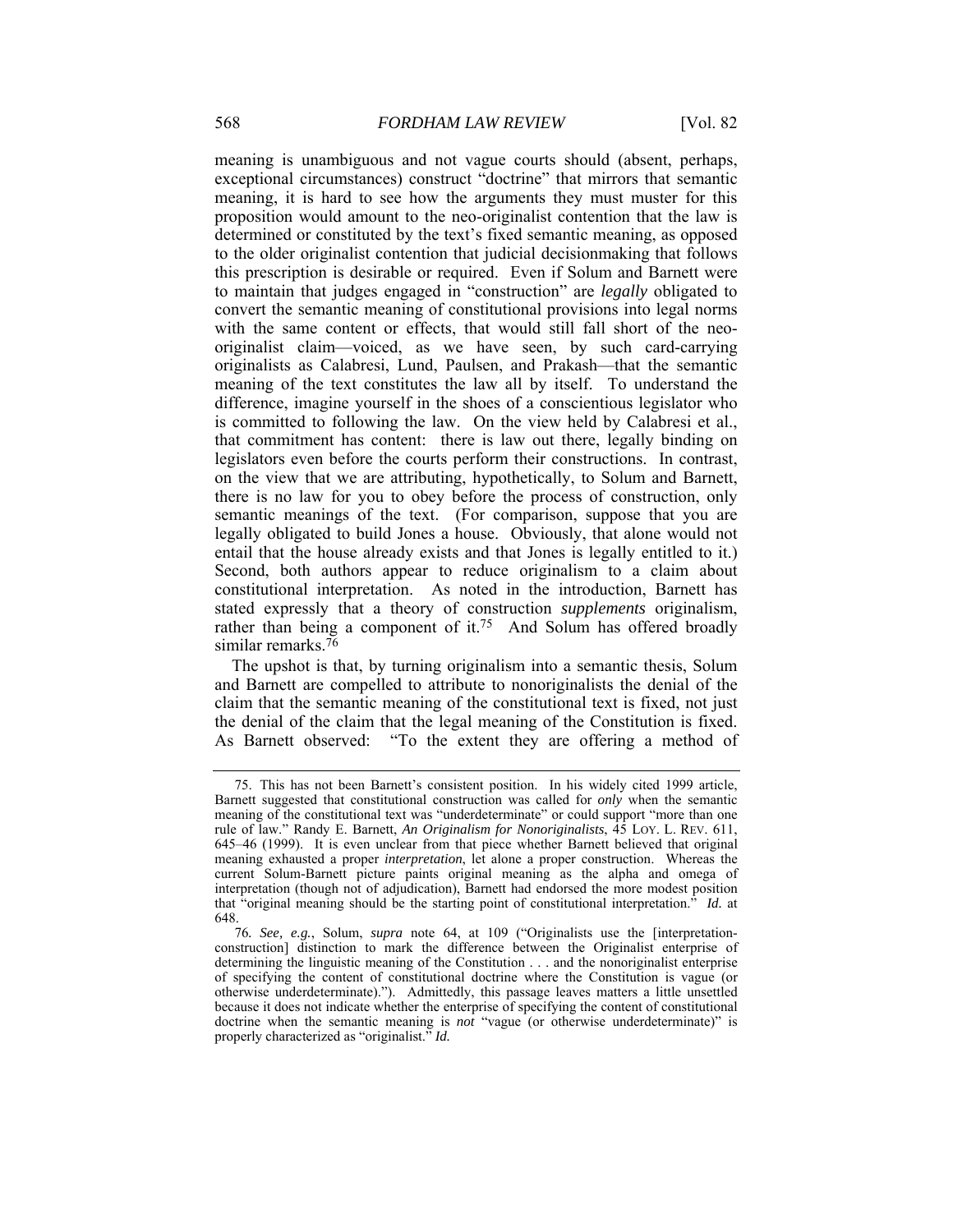meaning is unambiguous and not vague courts should (absent, perhaps, exceptional circumstances) construct "doctrine" that mirrors that semantic meaning, it is hard to see how the arguments they must muster for this proposition would amount to the neo-originalist contention that the law is determined or constituted by the text's fixed semantic meaning, as opposed to the older originalist contention that judicial decisionmaking that follows this prescription is desirable or required. Even if Solum and Barnett were to maintain that judges engaged in "construction" are *legally* obligated to convert the semantic meaning of constitutional provisions into legal norms with the same content or effects, that would still fall short of the neooriginalist claim—voiced, as we have seen, by such card-carrying originalists as Calabresi, Lund, Paulsen, and Prakash—that the semantic meaning of the text constitutes the law all by itself. To understand the difference, imagine yourself in the shoes of a conscientious legislator who is committed to following the law. On the view held by Calabresi et al., that commitment has content: there is law out there, legally binding on legislators even before the courts perform their constructions. In contrast, on the view that we are attributing, hypothetically, to Solum and Barnett, there is no law for you to obey before the process of construction, only semantic meanings of the text. (For comparison, suppose that you are legally obligated to build Jones a house. Obviously, that alone would not entail that the house already exists and that Jones is legally entitled to it.) Second, both authors appear to reduce originalism to a claim about constitutional interpretation. As noted in the introduction, Barnett has stated expressly that a theory of construction *supplements* originalism, rather than being a component of it.<sup>75</sup> And Solum has offered broadly similar remarks.<sup>76</sup>

The upshot is that, by turning originalism into a semantic thesis, Solum and Barnett are compelled to attribute to nonoriginalists the denial of the claim that the semantic meaning of the constitutional text is fixed, not just the denial of the claim that the legal meaning of the Constitution is fixed. As Barnett observed: "To the extent they are offering a method of

 <sup>75.</sup> This has not been Barnett's consistent position. In his widely cited 1999 article, Barnett suggested that constitutional construction was called for *only* when the semantic meaning of the constitutional text was "underdeterminate" or could support "more than one rule of law." Randy E. Barnett, *An Originalism for Nonoriginalists*, 45 LOY. L. REV. 611, 645–46 (1999). It is even unclear from that piece whether Barnett believed that original meaning exhausted a proper *interpretation*, let alone a proper construction. Whereas the current Solum-Barnett picture paints original meaning as the alpha and omega of interpretation (though not of adjudication), Barnett had endorsed the more modest position that "original meaning should be the starting point of constitutional interpretation." *Id.* at 648.

<sup>76</sup>*. See, e.g.*, Solum, *supra* note 64, at 109 ("Originalists use the [interpretationconstruction] distinction to mark the difference between the Originalist enterprise of determining the linguistic meaning of the Constitution . . . and the nonoriginalist enterprise of specifying the content of constitutional doctrine where the Constitution is vague (or otherwise underdeterminate)."). Admittedly, this passage leaves matters a little unsettled because it does not indicate whether the enterprise of specifying the content of constitutional doctrine when the semantic meaning is *not* "vague (or otherwise underdeterminate)" is properly characterized as "originalist." *Id.*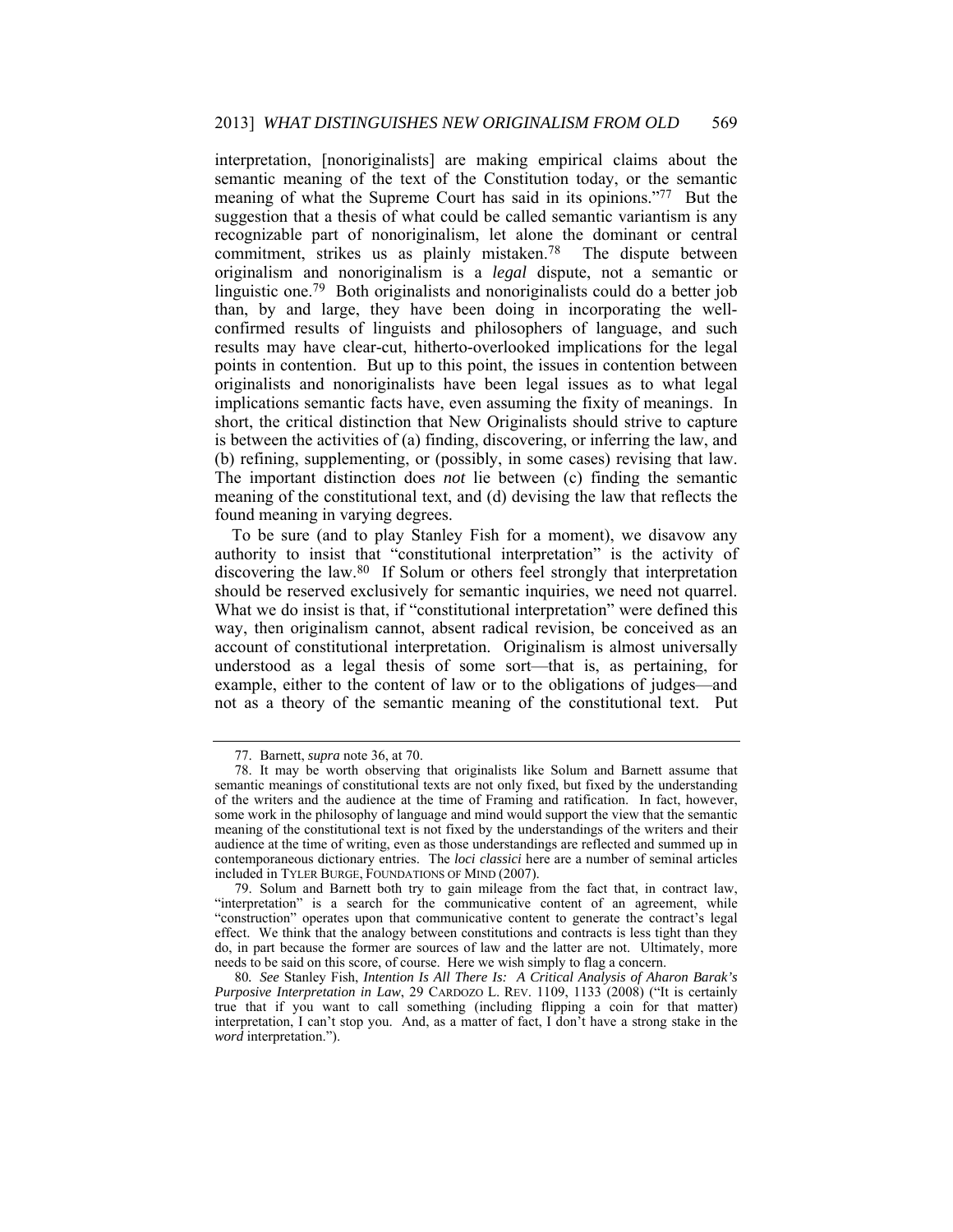interpretation, [nonoriginalists] are making empirical claims about the semantic meaning of the text of the Constitution today, or the semantic meaning of what the Supreme Court has said in its opinions."77 But the suggestion that a thesis of what could be called semantic variantism is any recognizable part of nonoriginalism, let alone the dominant or central commitment, strikes us as plainly mistaken.78 The dispute between originalism and nonoriginalism is a *legal* dispute, not a semantic or linguistic one.79 Both originalists and nonoriginalists could do a better job than, by and large, they have been doing in incorporating the wellconfirmed results of linguists and philosophers of language, and such results may have clear-cut, hitherto-overlooked implications for the legal points in contention. But up to this point, the issues in contention between originalists and nonoriginalists have been legal issues as to what legal implications semantic facts have, even assuming the fixity of meanings. In short, the critical distinction that New Originalists should strive to capture is between the activities of (a) finding, discovering, or inferring the law, and (b) refining, supplementing, or (possibly, in some cases) revising that law. The important distinction does *not* lie between (c) finding the semantic meaning of the constitutional text, and (d) devising the law that reflects the found meaning in varying degrees.

To be sure (and to play Stanley Fish for a moment), we disavow any authority to insist that "constitutional interpretation" is the activity of discovering the law.80 If Solum or others feel strongly that interpretation should be reserved exclusively for semantic inquiries, we need not quarrel. What we do insist is that, if "constitutional interpretation" were defined this way, then originalism cannot, absent radical revision, be conceived as an account of constitutional interpretation. Originalism is almost universally understood as a legal thesis of some sort—that is, as pertaining, for example, either to the content of law or to the obligations of judges—and not as a theory of the semantic meaning of the constitutional text. Put

 <sup>77.</sup> Barnett, *supra* note 36, at 70.

 <sup>78.</sup> It may be worth observing that originalists like Solum and Barnett assume that semantic meanings of constitutional texts are not only fixed, but fixed by the understanding of the writers and the audience at the time of Framing and ratification. In fact, however, some work in the philosophy of language and mind would support the view that the semantic meaning of the constitutional text is not fixed by the understandings of the writers and their audience at the time of writing, even as those understandings are reflected and summed up in contemporaneous dictionary entries. The *loci classici* here are a number of seminal articles included in TYLER BURGE, FOUNDATIONS OF MIND (2007).

 <sup>79.</sup> Solum and Barnett both try to gain mileage from the fact that, in contract law, "interpretation" is a search for the communicative content of an agreement, while "construction" operates upon that communicative content to generate the contract's legal effect. We think that the analogy between constitutions and contracts is less tight than they do, in part because the former are sources of law and the latter are not. Ultimately, more needs to be said on this score, of course. Here we wish simply to flag a concern.

<sup>80</sup>*. See* Stanley Fish, *Intention Is All There Is: A Critical Analysis of Aharon Barak's Purposive Interpretation in Law*, 29 CARDOZO L. REV. 1109, 1133 (2008) ("It is certainly true that if you want to call something (including flipping a coin for that matter) interpretation, I can't stop you. And, as a matter of fact, I don't have a strong stake in the *word* interpretation.").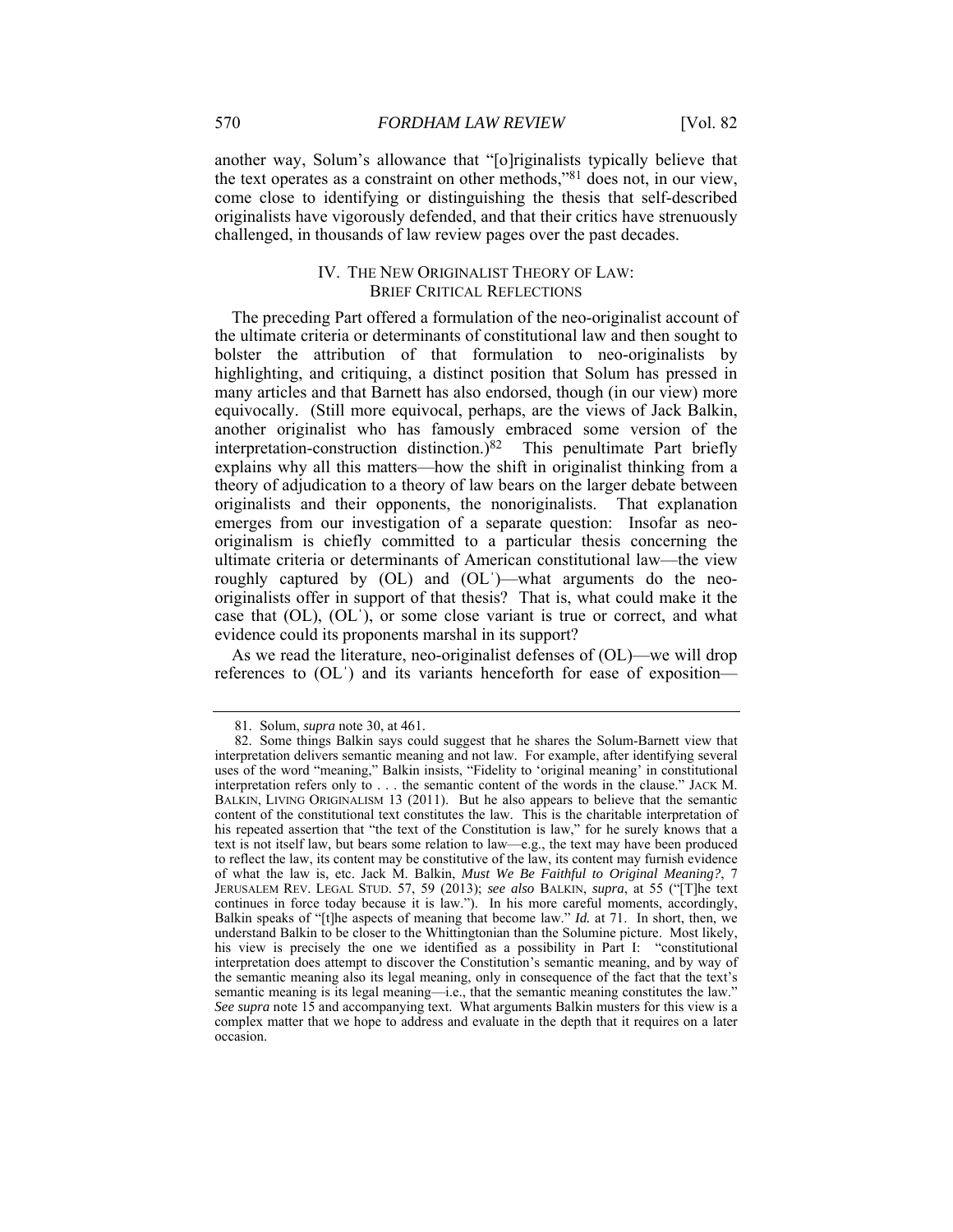another way, Solum's allowance that "[o]riginalists typically believe that the text operates as a constraint on other methods,"81 does not, in our view, come close to identifying or distinguishing the thesis that self-described originalists have vigorously defended, and that their critics have strenuously challenged, in thousands of law review pages over the past decades.

#### IV. THE NEW ORIGINALIST THEORY OF LAW: BRIEF CRITICAL REFLECTIONS

The preceding Part offered a formulation of the neo-originalist account of the ultimate criteria or determinants of constitutional law and then sought to bolster the attribution of that formulation to neo-originalists by highlighting, and critiquing, a distinct position that Solum has pressed in many articles and that Barnett has also endorsed, though (in our view) more equivocally. (Still more equivocal, perhaps, are the views of Jack Balkin, another originalist who has famously embraced some version of the interpretation-construction distinction.) $82$  This penultimate Part briefly explains why all this matters—how the shift in originalist thinking from a theory of adjudication to a theory of law bears on the larger debate between originalists and their opponents, the nonoriginalists. That explanation emerges from our investigation of a separate question: Insofar as neooriginalism is chiefly committed to a particular thesis concerning the ultimate criteria or determinants of American constitutional law—the view roughly captured by (OL) and (OL<sup>'</sup>)—what arguments do the neooriginalists offer in support of that thesis? That is, what could make it the case that (OL), (OLˈ), or some close variant is true or correct, and what evidence could its proponents marshal in its support?

As we read the literature, neo-originalist defenses of (OL)—we will drop references to (OLˈ) and its variants henceforth for ease of exposition—

 <sup>81.</sup> Solum, *supra* note 30, at 461.

 <sup>82.</sup> Some things Balkin says could suggest that he shares the Solum-Barnett view that interpretation delivers semantic meaning and not law. For example, after identifying several uses of the word "meaning," Balkin insists, "Fidelity to 'original meaning' in constitutional interpretation refers only to . . . the semantic content of the words in the clause." JACK M. BALKIN, LIVING ORIGINALISM 13 (2011). But he also appears to believe that the semantic content of the constitutional text constitutes the law. This is the charitable interpretation of his repeated assertion that "the text of the Constitution is law," for he surely knows that a text is not itself law, but bears some relation to law—e.g., the text may have been produced to reflect the law, its content may be constitutive of the law, its content may furnish evidence of what the law is, etc. Jack M. Balkin, *Must We Be Faithful to Original Meaning?*, 7 JERUSALEM REV. LEGAL STUD. 57, 59 (2013); *see also* BALKIN, *supra*, at 55 ("[T]he text continues in force today because it is law."). In his more careful moments, accordingly, Balkin speaks of "[t]he aspects of meaning that become law." *Id.* at 71. In short, then, we understand Balkin to be closer to the Whittingtonian than the Solumine picture. Most likely, his view is precisely the one we identified as a possibility in Part I: "constitutional interpretation does attempt to discover the Constitution's semantic meaning, and by way of the semantic meaning also its legal meaning, only in consequence of the fact that the text's semantic meaning is its legal meaning—i.e., that the semantic meaning constitutes the law." *See supra* note 15 and accompanying text. What arguments Balkin musters for this view is a complex matter that we hope to address and evaluate in the depth that it requires on a later occasion.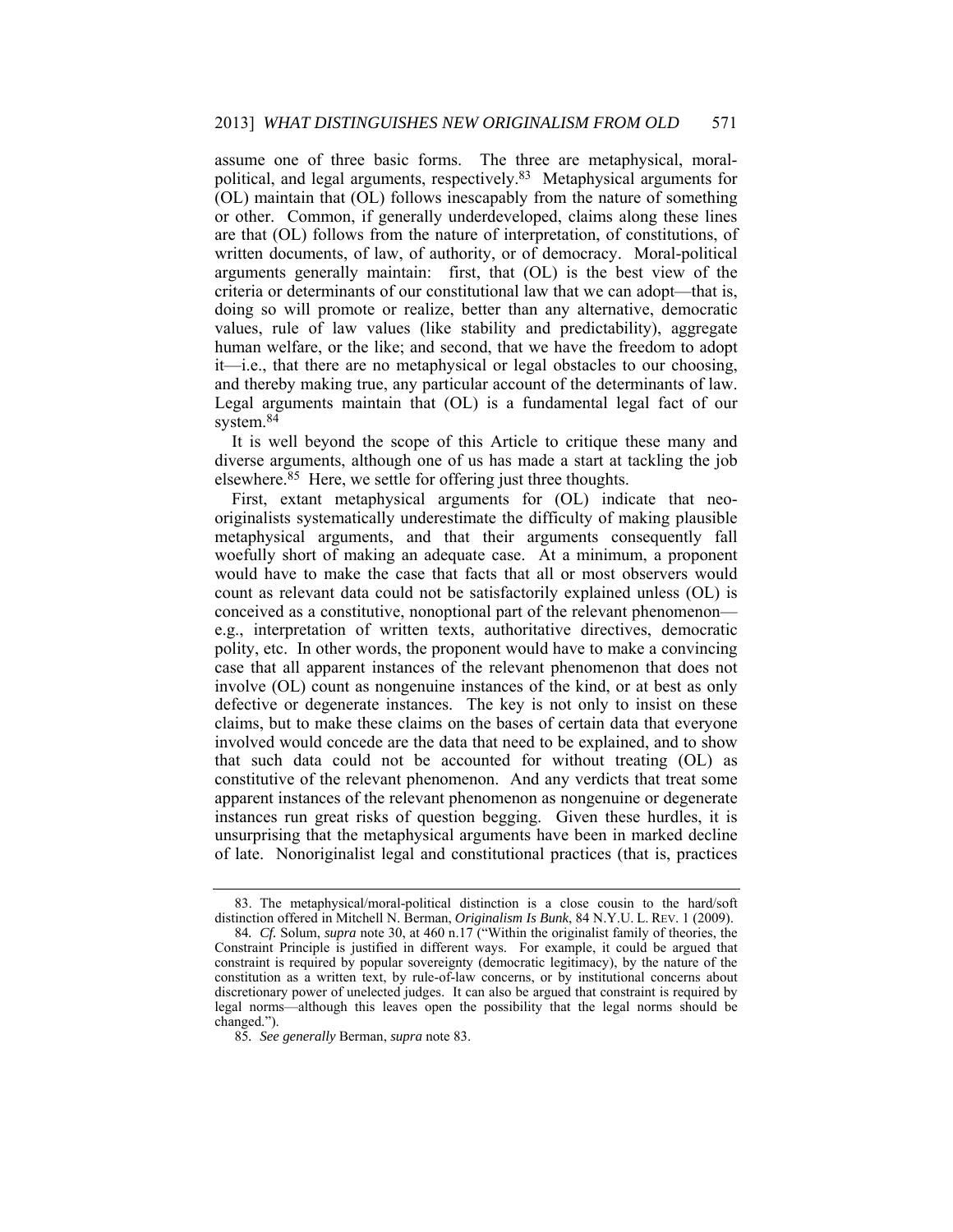assume one of three basic forms. The three are metaphysical, moralpolitical, and legal arguments, respectively.83 Metaphysical arguments for (OL) maintain that (OL) follows inescapably from the nature of something or other. Common, if generally underdeveloped, claims along these lines are that (OL) follows from the nature of interpretation, of constitutions, of written documents, of law, of authority, or of democracy. Moral-political arguments generally maintain: first, that (OL) is the best view of the criteria or determinants of our constitutional law that we can adopt—that is, doing so will promote or realize, better than any alternative, democratic values, rule of law values (like stability and predictability), aggregate human welfare, or the like; and second, that we have the freedom to adopt it—i.e., that there are no metaphysical or legal obstacles to our choosing, and thereby making true, any particular account of the determinants of law. Legal arguments maintain that (OL) is a fundamental legal fact of our system.<sup>84</sup>

It is well beyond the scope of this Article to critique these many and diverse arguments, although one of us has made a start at tackling the job elsewhere.<sup>85</sup> Here, we settle for offering just three thoughts.

First, extant metaphysical arguments for (OL) indicate that neooriginalists systematically underestimate the difficulty of making plausible metaphysical arguments, and that their arguments consequently fall woefully short of making an adequate case. At a minimum, a proponent would have to make the case that facts that all or most observers would count as relevant data could not be satisfactorily explained unless (OL) is conceived as a constitutive, nonoptional part of the relevant phenomenon e.g., interpretation of written texts, authoritative directives, democratic polity, etc. In other words, the proponent would have to make a convincing case that all apparent instances of the relevant phenomenon that does not involve (OL) count as nongenuine instances of the kind, or at best as only defective or degenerate instances. The key is not only to insist on these claims, but to make these claims on the bases of certain data that everyone involved would concede are the data that need to be explained, and to show that such data could not be accounted for without treating (OL) as constitutive of the relevant phenomenon. And any verdicts that treat some apparent instances of the relevant phenomenon as nongenuine or degenerate instances run great risks of question begging. Given these hurdles, it is unsurprising that the metaphysical arguments have been in marked decline of late. Nonoriginalist legal and constitutional practices (that is, practices

 <sup>83.</sup> The metaphysical/moral-political distinction is a close cousin to the hard/soft distinction offered in Mitchell N. Berman, *Originalism Is Bunk*, 84 N.Y.U. L. REV. 1 (2009).

<sup>84</sup>*. Cf.* Solum, *supra* note 30, at 460 n.17 ("Within the originalist family of theories, the Constraint Principle is justified in different ways. For example, it could be argued that constraint is required by popular sovereignty (democratic legitimacy), by the nature of the constitution as a written text, by rule-of-law concerns, or by institutional concerns about discretionary power of unelected judges. It can also be argued that constraint is required by legal norms—although this leaves open the possibility that the legal norms should be changed.").

<sup>85</sup>*. See generally* Berman, *supra* note 83.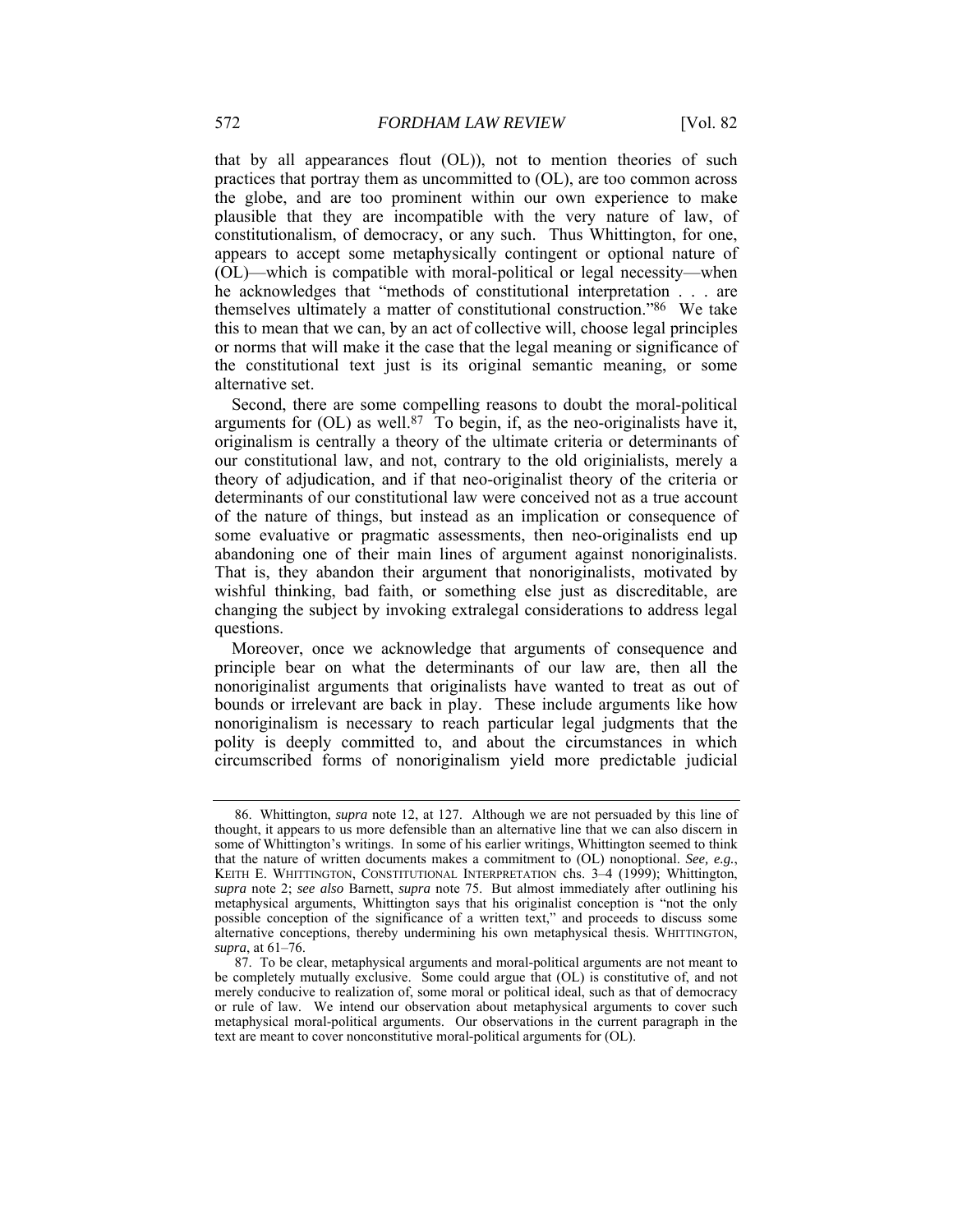that by all appearances flout (OL)), not to mention theories of such practices that portray them as uncommitted to (OL), are too common across the globe, and are too prominent within our own experience to make plausible that they are incompatible with the very nature of law, of constitutionalism, of democracy, or any such. Thus Whittington, for one, appears to accept some metaphysically contingent or optional nature of (OL)—which is compatible with moral-political or legal necessity—when he acknowledges that "methods of constitutional interpretation . . . are themselves ultimately a matter of constitutional construction."86 We take this to mean that we can, by an act of collective will, choose legal principles or norms that will make it the case that the legal meaning or significance of the constitutional text just is its original semantic meaning, or some alternative set.

Second, there are some compelling reasons to doubt the moral-political arguments for  $(OL)$  as well.<sup>87</sup> To begin, if, as the neo-originalists have it, originalism is centrally a theory of the ultimate criteria or determinants of our constitutional law, and not, contrary to the old originialists, merely a theory of adjudication, and if that neo-originalist theory of the criteria or determinants of our constitutional law were conceived not as a true account of the nature of things, but instead as an implication or consequence of some evaluative or pragmatic assessments, then neo-originalists end up abandoning one of their main lines of argument against nonoriginalists. That is, they abandon their argument that nonoriginalists, motivated by wishful thinking, bad faith, or something else just as discreditable, are changing the subject by invoking extralegal considerations to address legal questions.

Moreover, once we acknowledge that arguments of consequence and principle bear on what the determinants of our law are, then all the nonoriginalist arguments that originalists have wanted to treat as out of bounds or irrelevant are back in play. These include arguments like how nonoriginalism is necessary to reach particular legal judgments that the polity is deeply committed to, and about the circumstances in which circumscribed forms of nonoriginalism yield more predictable judicial

 <sup>86.</sup> Whittington, *supra* note 12, at 127. Although we are not persuaded by this line of thought, it appears to us more defensible than an alternative line that we can also discern in some of Whittington's writings. In some of his earlier writings, Whittington seemed to think that the nature of written documents makes a commitment to (OL) nonoptional. *See, e.g.*, KEITH E. WHITTINGTON, CONSTITUTIONAL INTERPRETATION chs. 3–4 (1999); Whittington, *supra* note 2; *see also* Barnett, *supra* note 75. But almost immediately after outlining his metaphysical arguments, Whittington says that his originalist conception is "not the only possible conception of the significance of a written text," and proceeds to discuss some alternative conceptions, thereby undermining his own metaphysical thesis. WHITTINGTON, *supra*, at 61–76.

 <sup>87.</sup> To be clear, metaphysical arguments and moral-political arguments are not meant to be completely mutually exclusive. Some could argue that (OL) is constitutive of, and not merely conducive to realization of, some moral or political ideal, such as that of democracy or rule of law. We intend our observation about metaphysical arguments to cover such metaphysical moral-political arguments. Our observations in the current paragraph in the text are meant to cover nonconstitutive moral-political arguments for (OL).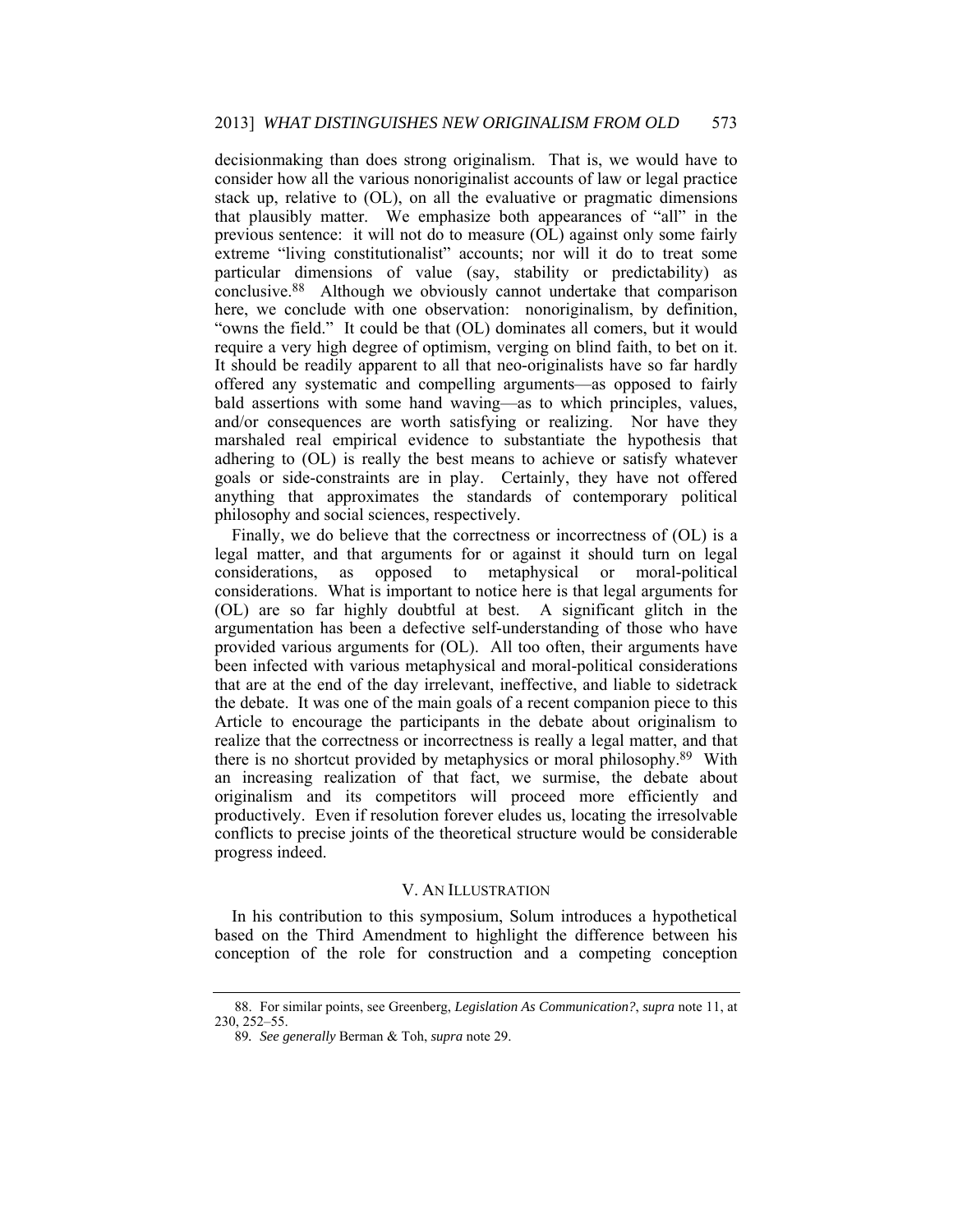decisionmaking than does strong originalism. That is, we would have to consider how all the various nonoriginalist accounts of law or legal practice stack up, relative to (OL), on all the evaluative or pragmatic dimensions that plausibly matter. We emphasize both appearances of "all" in the previous sentence: it will not do to measure (OL) against only some fairly extreme "living constitutionalist" accounts; nor will it do to treat some particular dimensions of value (say, stability or predictability) as conclusive.88 Although we obviously cannot undertake that comparison here, we conclude with one observation: nonoriginalism, by definition, "owns the field." It could be that (OL) dominates all comers, but it would require a very high degree of optimism, verging on blind faith, to bet on it. It should be readily apparent to all that neo-originalists have so far hardly offered any systematic and compelling arguments—as opposed to fairly bald assertions with some hand waving—as to which principles, values, and/or consequences are worth satisfying or realizing. Nor have they marshaled real empirical evidence to substantiate the hypothesis that adhering to (OL) is really the best means to achieve or satisfy whatever goals or side-constraints are in play. Certainly, they have not offered anything that approximates the standards of contemporary political philosophy and social sciences, respectively.

Finally, we do believe that the correctness or incorrectness of (OL) is a legal matter, and that arguments for or against it should turn on legal considerations, as opposed to metaphysical or moral-political considerations. What is important to notice here is that legal arguments for (OL) are so far highly doubtful at best. A significant glitch in the argumentation has been a defective self-understanding of those who have provided various arguments for (OL). All too often, their arguments have been infected with various metaphysical and moral-political considerations that are at the end of the day irrelevant, ineffective, and liable to sidetrack the debate. It was one of the main goals of a recent companion piece to this Article to encourage the participants in the debate about originalism to realize that the correctness or incorrectness is really a legal matter, and that there is no shortcut provided by metaphysics or moral philosophy.89 With an increasing realization of that fact, we surmise, the debate about originalism and its competitors will proceed more efficiently and productively. Even if resolution forever eludes us, locating the irresolvable conflicts to precise joints of the theoretical structure would be considerable progress indeed.

#### V. AN ILLUSTRATION

In his contribution to this symposium, Solum introduces a hypothetical based on the Third Amendment to highlight the difference between his conception of the role for construction and a competing conception

 <sup>88.</sup> For similar points, see Greenberg, *Legislation As Communication?*, *supra* note 11, at 230, 252–55.

<sup>89</sup>*. See generally* Berman & Toh, *supra* note 29.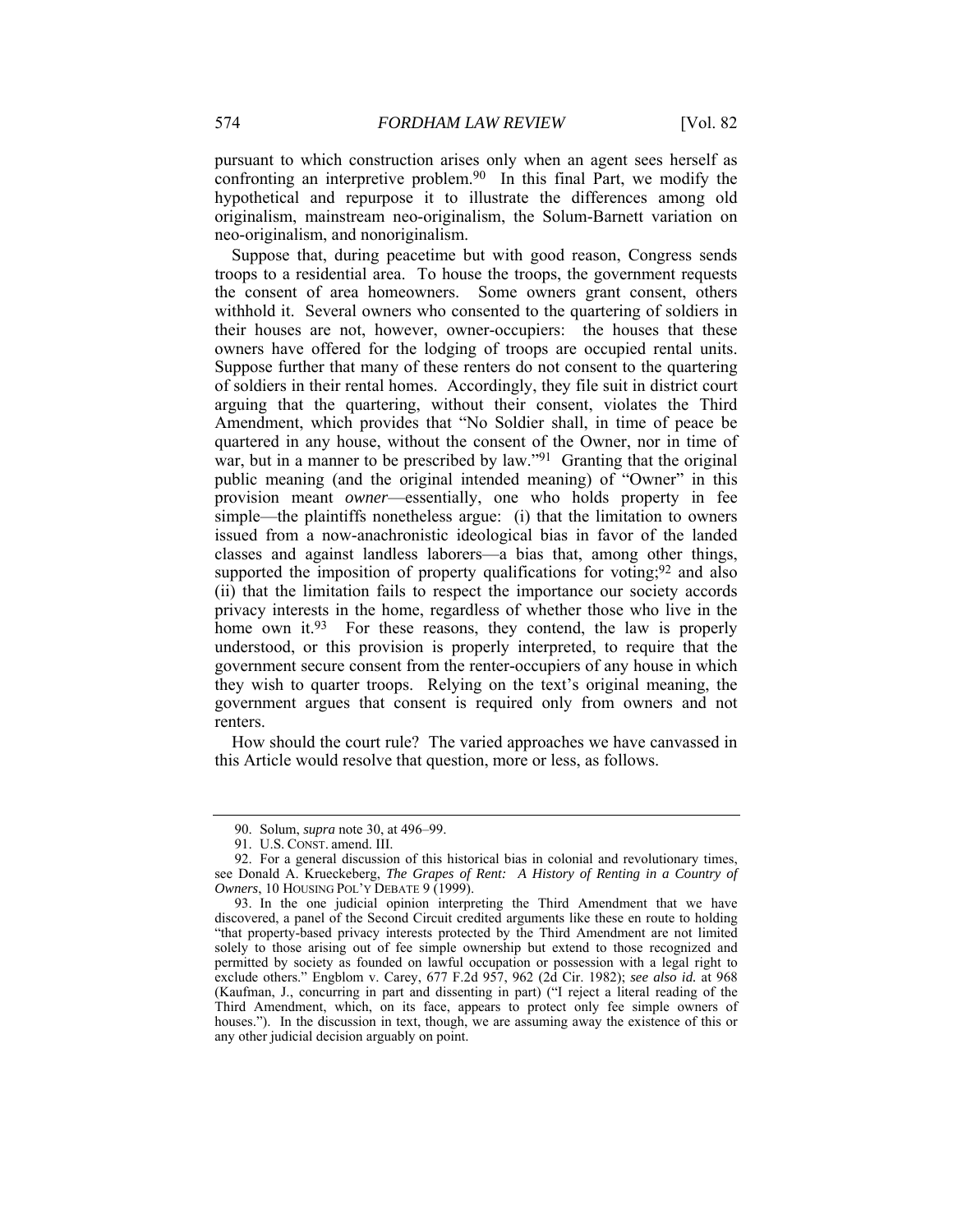pursuant to which construction arises only when an agent sees herself as confronting an interpretive problem.90 In this final Part, we modify the hypothetical and repurpose it to illustrate the differences among old originalism, mainstream neo-originalism, the Solum-Barnett variation on neo-originalism, and nonoriginalism.

Suppose that, during peacetime but with good reason, Congress sends troops to a residential area. To house the troops, the government requests the consent of area homeowners. Some owners grant consent, others withhold it. Several owners who consented to the quartering of soldiers in their houses are not, however, owner-occupiers: the houses that these owners have offered for the lodging of troops are occupied rental units. Suppose further that many of these renters do not consent to the quartering of soldiers in their rental homes. Accordingly, they file suit in district court arguing that the quartering, without their consent, violates the Third Amendment, which provides that "No Soldier shall, in time of peace be quartered in any house, without the consent of the Owner, nor in time of war, but in a manner to be prescribed by law."<sup>91</sup> Granting that the original public meaning (and the original intended meaning) of "Owner" in this provision meant *owner*—essentially, one who holds property in fee simple—the plaintiffs nonetheless argue: (i) that the limitation to owners issued from a now-anachronistic ideological bias in favor of the landed classes and against landless laborers—a bias that, among other things, supported the imposition of property qualifications for voting;  $92$  and also (ii) that the limitation fails to respect the importance our society accords privacy interests in the home, regardless of whether those who live in the home own it.<sup>93</sup> For these reasons, they contend, the law is properly understood, or this provision is properly interpreted, to require that the government secure consent from the renter-occupiers of any house in which they wish to quarter troops. Relying on the text's original meaning, the government argues that consent is required only from owners and not renters.

How should the court rule? The varied approaches we have canvassed in this Article would resolve that question, more or less, as follows.

 <sup>90.</sup> Solum, *supra* note 30, at 496–99.

 <sup>91.</sup> U.S. CONST. amend. III.

 <sup>92.</sup> For a general discussion of this historical bias in colonial and revolutionary times, see Donald A. Krueckeberg, *The Grapes of Rent: A History of Renting in a Country of Owners*, 10 HOUSING POL'Y DEBATE 9 (1999).

 <sup>93.</sup> In the one judicial opinion interpreting the Third Amendment that we have discovered, a panel of the Second Circuit credited arguments like these en route to holding "that property-based privacy interests protected by the Third Amendment are not limited solely to those arising out of fee simple ownership but extend to those recognized and permitted by society as founded on lawful occupation or possession with a legal right to exclude others." Engblom v. Carey, 677 F.2d 957, 962 (2d Cir. 1982); *see also id.* at 968 (Kaufman, J., concurring in part and dissenting in part) ("I reject a literal reading of the Third Amendment, which, on its face, appears to protect only fee simple owners of houses."). In the discussion in text, though, we are assuming away the existence of this or any other judicial decision arguably on point.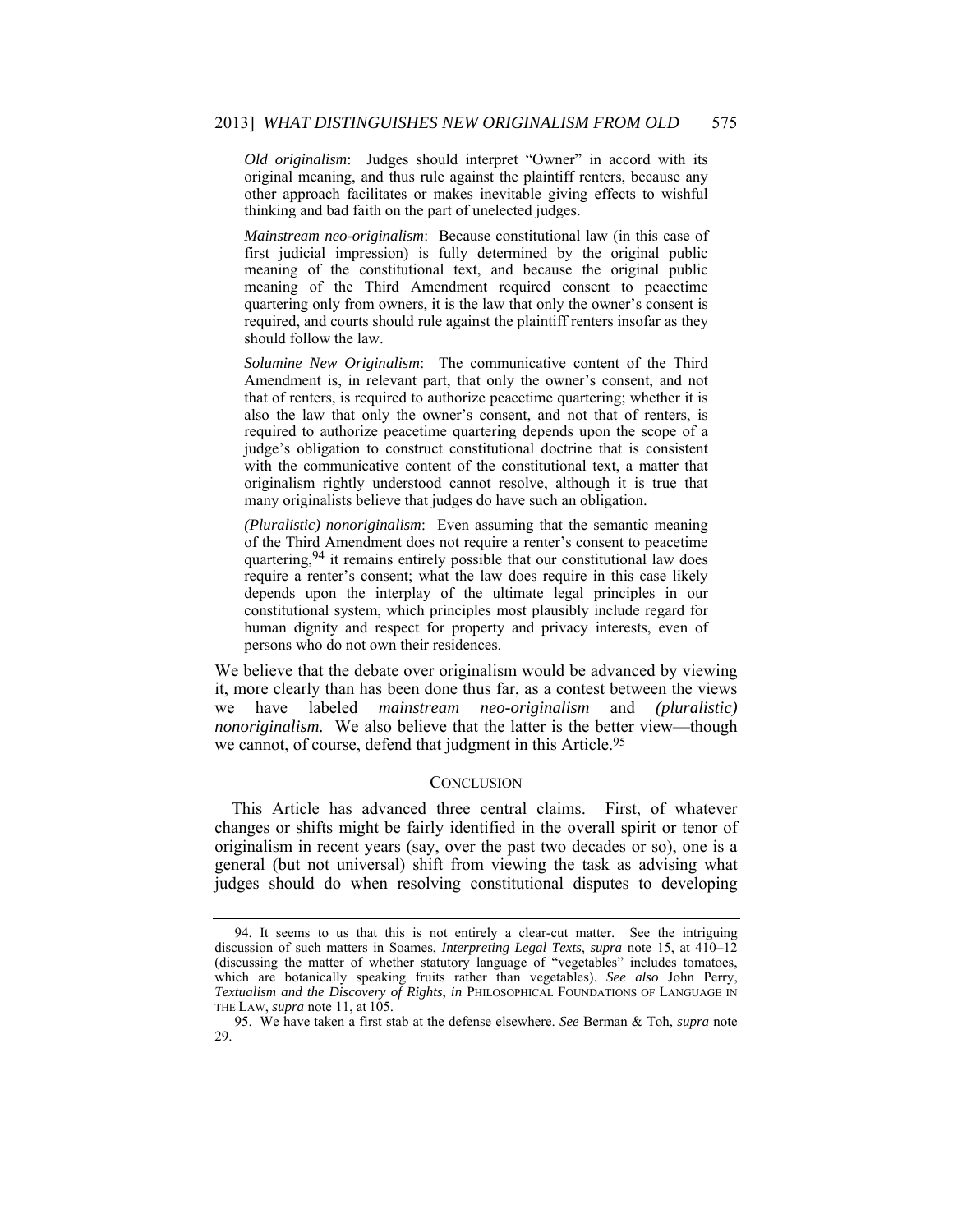*Old originalism*: Judges should interpret "Owner" in accord with its original meaning, and thus rule against the plaintiff renters, because any other approach facilitates or makes inevitable giving effects to wishful thinking and bad faith on the part of unelected judges.

*Mainstream neo-originalism*: Because constitutional law (in this case of first judicial impression) is fully determined by the original public meaning of the constitutional text, and because the original public meaning of the Third Amendment required consent to peacetime quartering only from owners, it is the law that only the owner's consent is required, and courts should rule against the plaintiff renters insofar as they should follow the law.

*Solumine New Originalism*: The communicative content of the Third Amendment is, in relevant part, that only the owner's consent, and not that of renters, is required to authorize peacetime quartering; whether it is also the law that only the owner's consent, and not that of renters, is required to authorize peacetime quartering depends upon the scope of a judge's obligation to construct constitutional doctrine that is consistent with the communicative content of the constitutional text, a matter that originalism rightly understood cannot resolve, although it is true that many originalists believe that judges do have such an obligation.

*(Pluralistic) nonoriginalism*: Even assuming that the semantic meaning of the Third Amendment does not require a renter's consent to peacetime quartering, <sup>94</sup> it remains entirely possible that our constitutional law does require a renter's consent; what the law does require in this case likely depends upon the interplay of the ultimate legal principles in our constitutional system, which principles most plausibly include regard for human dignity and respect for property and privacy interests, even of persons who do not own their residences.

We believe that the debate over originalism would be advanced by viewing it, more clearly than has been done thus far, as a contest between the views we have labeled *mainstream neo-originalism* and *(pluralistic) nonoriginalism.* We also believe that the latter is the better view—though we cannot, of course, defend that judgment in this Article.<sup>95</sup>

#### **CONCLUSION**

This Article has advanced three central claims. First, of whatever changes or shifts might be fairly identified in the overall spirit or tenor of originalism in recent years (say, over the past two decades or so), one is a general (but not universal) shift from viewing the task as advising what judges should do when resolving constitutional disputes to developing

 <sup>94.</sup> It seems to us that this is not entirely a clear-cut matter. See the intriguing discussion of such matters in Soames, *Interpreting Legal Texts*, *supra* note 15, at 410–12 (discussing the matter of whether statutory language of "vegetables" includes tomatoes, which are botanically speaking fruits rather than vegetables). *See also* John Perry, *Textualism and the Discovery of Rights*, *in* PHILOSOPHICAL FOUNDATIONS OF LANGUAGE IN THE LAW, *supra* note 11, at 105.

 <sup>95.</sup> We have taken a first stab at the defense elsewhere. *See* Berman & Toh, *supra* note 29.